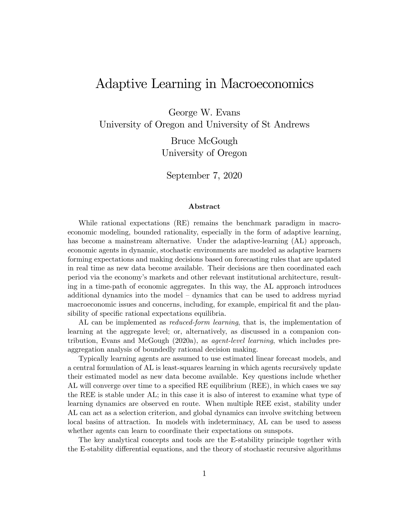# Adaptive Learning in Macroeconomics

George W. Evans

University of Oregon and University of St Andrews

Bruce McGough University of Oregon

September 7, 2020

#### Abstract

While rational expectations (RE) remains the benchmark paradigm in macroeconomic modeling, bounded rationality, especially in the form of adaptive learning, has become a mainstream alternative. Under the adaptive-learning (AL) approach, economic agents in dynamic, stochastic environments are modeled as adaptive learners forming expectations and making decisions based on forecasting rules that are updated in real time as new data become available. Their decisions are then coordinated each period via the economy's markets and other relevant institutional architecture, resulting in a time-path of economic aggregates. In this way, the AL approach introduces additional dynamics into the model — dynamics that can be used to address myriad macroeconomic issues and concerns, including, for example, empirical fit and the plausibility of specific rational expectations equilibria.

AL can be implemented as *reduced-form learning*, that is, the implementation of learning at the aggregate level; or, alternatively, as discussed in a companion contribution, Evans and McGough (2020a), as agent-level learning, which includes preaggregation analysis of boundedly rational decision making.

Typically learning agents are assumed to use estimated linear forecast models, and a central formulation of AL is least-squares learning in which agents recursively update their estimated model as new data become available. Key questions include whether AL will converge over time to a specified RE equilibrium (REE), in which cases we say the REE is stable under AL; in this case it is also of interest to examine what type of learning dynamics are observed en route. When multiple REE exist, stability under AL can act as a selection criterion, and global dynamics can involve switching between local basins of attraction. In models with indeterminacy, AL can be used to assess whether agents can learn to coordinate their expectations on sunspots.

The key analytical concepts and tools are the E-stability principle together with the E-stability differential equations, and the theory of stochastic recursive algorithms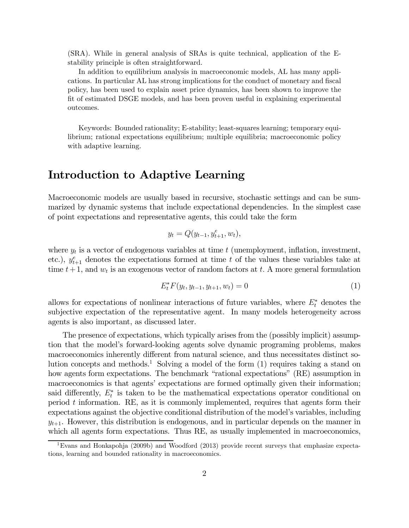(SRA). While in general analysis of SRAs is quite technical, application of the Estability principle is often straightforward.

In addition to equilibrium analysis in macroeconomic models, AL has many applications. In particular AL has strong implications for the conduct of monetary and fiscal policy, has been used to explain asset price dynamics, has been shown to improve the fit of estimated DSGE models, and has been proven useful in explaining experimental outcomes.

Keywords: Bounded rationality; E-stability; least-squares learning; temporary equilibrium; rational expectations equilibrium; multiple equilibria; macroeconomic policy with adaptive learning.

# Introduction to Adaptive Learning

Macroeconomic models are usually based in recursive, stochastic settings and can be summarized by dynamic systems that include expectational dependencies. In the simplest case of point expectations and representative agents, this could take the form

$$
y_t = Q(y_{t-1}, y_{t+1}^e, w_t),
$$

where  $y_t$  is a vector of endogenous variables at time  $t$  (unemployment, inflation, investment, etc.),  $y_{t+1}^e$  denotes the expectations formed at time t of the values these variables take at time  $t + 1$ , and  $w_t$  is an exogenous vector of random factors at  $t$ . A more general formulation

$$
E_t^* F(y_t, y_{t-1}, y_{t+1}, w_t) = 0
$$
\n(1)

allows for expectations of nonlinear interactions of future variables, where  $E_t^*$  denotes the subjective expectation of the representative agent. In many models heterogeneity across agents is also important, as discussed later.

The presence of expectations, which typically arises from the (possibly implicit) assumption that the model's forward-looking agents solve dynamic programing problems, makes macroeconomics inherently different from natural science, and thus necessitates distinct solution concepts and methods.<sup>1</sup> Solving a model of the form (1) requires taking a stand on how agents form expectations. The benchmark "rational expectations" (RE) assumption in macroeconomics is that agents' expectations are formed optimally given their information; said differently,  $E_t^*$  is taken to be the mathematical expectations operator conditional on period  $t$  information. RE, as it is commonly implemented, requires that agents form their expectations against the objective conditional distribution of the model's variables, including  $y_{t+1}$ . However, this distribution is endogenous, and in particular depends on the manner in which all agents form expectations. Thus RE, as usually implemented in macroeconomics,

<sup>&</sup>lt;sup>1</sup>Evans and Honkapohja (2009b) and Woodford (2013) provide recent surveys that emphasize expectations, learning and bounded rationality in macroeconomics.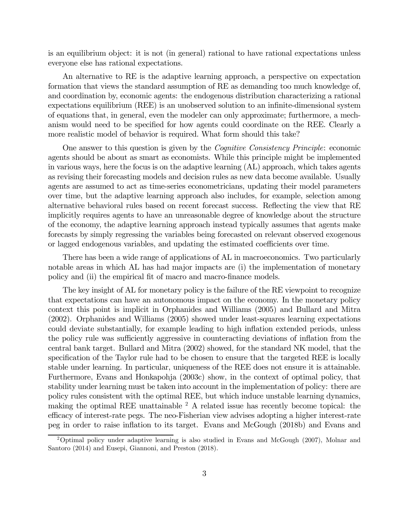is an equilibrium object: it is not (in general) rational to have rational expectations unless everyone else has rational expectations.

An alternative to RE is the adaptive learning approach, a perspective on expectation formation that views the standard assumption of RE as demanding too much knowledge of, and coordination by, economic agents: the endogenous distribution characterizing a rational expectations equilibrium (REE) is an unobserved solution to an infinite-dimensional system of equations that, in general, even the modeler can only approximate; furthermore, a mechanism would need to be specified for how agents could coordinate on the REE. Clearly a more realistic model of behavior is required. What form should this take?

One answer to this question is given by the Cognitive Consistency Principle: economic agents should be about as smart as economists. While this principle might be implemented in various ways, here the focus is on the adaptive learning (AL) approach, which takes agents as revising their forecasting models and decision rules as new data become available. Usually agents are assumed to act as time-series econometricians, updating their model parameters over time, but the adaptive learning approach also includes, for example, selection among alternative behavioral rules based on recent forecast success. Reflecting the view that RE implicitly requires agents to have an unreasonable degree of knowledge about the structure of the economy, the adaptive learning approach instead typically assumes that agents make forecasts by simply regressing the variables being forecasted on relevant observed exogenous or lagged endogenous variables, and updating the estimated coefficients over time.

There has been a wide range of applications of AL in macroeconomics. Two particularly notable areas in which AL has had major impacts are (i) the implementation of monetary policy and (ii) the empirical fit of macro and macro-finance models.

The key insight of AL for monetary policy is the failure of the RE viewpoint to recognize that expectations can have an autonomous impact on the economy. In the monetary policy context this point is implicit in Orphanides and Williams (2005) and Bullard and Mitra (2002). Orphanides and Williams (2005) showed under least-squares learning expectations could deviate substantially, for example leading to high inflation extended periods, unless the policy rule was sufficiently aggressive in counteracting deviations of inflation from the central bank target. Bullard and Mitra (2002) showed, for the standard NK model, that the specification of the Taylor rule had to be chosen to ensure that the targeted REE is locally stable under learning. In particular, uniqueness of the REE does not ensure it is attainable. Furthermore, Evans and Honkapohja (2003c) show, in the context of optimal policy, that stability under learning must be taken into account in the implementation of policy: there are policy rules consistent with the optimal REE, but which induce unstable learning dynamics, making the optimal REE unattainable  $2$  A related issue has recently become topical: the efficacy of interest-rate pegs. The neo-Fisherian view advises adopting a higher interest-rate peg in order to raise inflation to its target. Evans and McGough (2018b) and Evans and

 $2^2$ Optimal policy under adaptive learning is also studied in Evans and McGough (2007), Molnar and Santoro (2014) and Eusepi, Giannoni, and Preston (2018).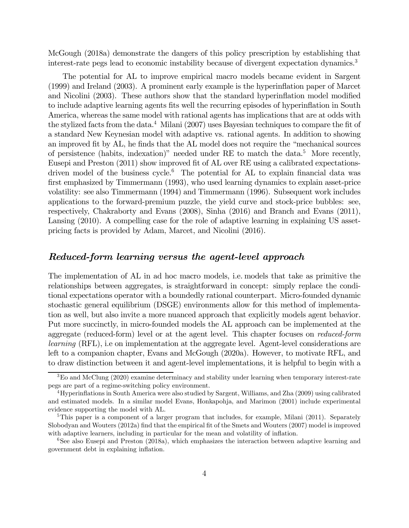McGough (2018a) demonstrate the dangers of this policy prescription by establishing that interest-rate pegs lead to economic instability because of divergent expectation dynamics.3

The potential for AL to improve empirical macro models became evident in Sargent (1999) and Ireland (2003). A prominent early example is the hyperinflation paper of Marcet and Nicolini (2003). These authors show that the standard hyperinflation model modified to include adaptive learning agents fits well the recurring episodes of hyperinflation in South America, whereas the same model with rational agents has implications that are at odds with the stylized facts from the data.<sup>4</sup> Milani (2007) uses Bayesian techniques to compare the fit of a standard New Keynesian model with adaptive vs. rational agents. In addition to showing an improved fit by AL, he finds that the AL model does not require the "mechanical sources of persistence (habits, indexation)" needed under RE to match the data.5 More recently, Eusepi and Preston (2011) show improved fit of AL over RE using a calibrated expectationsdriven model of the business cycle.<sup>6</sup> The potential for AL to explain financial data was first emphasized by Timmermann (1993), who used learning dynamics to explain asset-price volatility: see also Timmermann (1994) and Timmermann (1996). Subsequent work includes applications to the forward-premium puzzle, the yield curve and stock-price bubbles: see, respectively, Chakraborty and Evans (2008), Sinha (2016) and Branch and Evans (2011), Lansing (2010). A compelling case for the role of adaptive learning in explaining US assetpricing facts is provided by Adam, Marcet, and Nicolini (2016).

## Reduced-form learning versus the agent-level approach

The implementation of AL in ad hoc macro models, i.e. models that take as primitive the relationships between aggregates, is straightforward in concept: simply replace the conditional expectations operator with a boundedly rational counterpart. Micro-founded dynamic stochastic general equilibrium (DSGE) environments allow for this method of implementation as well, but also invite a more nuanced approach that explicitly models agent behavior. Put more succinctly, in micro-founded models the AL approach can be implemented at the aggregate (reduced-form) level or at the agent level. This chapter focuses on reduced-form learning (RFL), i.e on implementation at the aggregate level. Agent-level considerations are left to a companion chapter, Evans and McGough (2020a). However, to motivate RFL, and to draw distinction between it and agent-level implementations, it is helpful to begin with a

<sup>&</sup>lt;sup>3</sup>Eo and McClung (2020) examine determinacy and stability under learning when temporary interest-rate pegs are part of a regime-switching policy environment.

<sup>4</sup>Hyperinflations in South America were also studied by Sargent, Williams, and Zha (2009) using calibrated and estimated models. In a similar model Evans, Honkapohja, and Marimon (2001) include experimental evidence supporting the model with AL.

<sup>&</sup>lt;sup>5</sup>This paper is a component of a larger program that includes, for example, Milani (2011). Separately Slobodyan and Wouters (2012a) find that the empirical fit of the Smets and Wouters (2007) model is improved with adaptive learners, including in particular for the mean and volatility of inflation.

<sup>&</sup>lt;sup>6</sup>See also Eusepi and Preston (2018a), which emphasizes the interaction between adaptive learning and government debt in explaining inflation.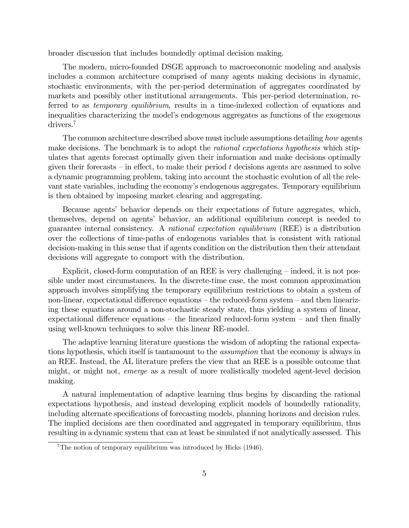broader discussion that includes boundedly optimal decision making.

The modern, micro-founded DSGE approach to macroeconomic modeling and analysis includes a common architecture comprised of many agents making decisions in dynamic, stochastic environments, with the per-period determination of aggregates coordinated by markets and possibly other institutional arrangements. This per-period determination, referred to as temporary equilibrium, results in a time-indexed collection of equations and inequalities characterizing the model's endogenous aggregates as functions of the exogenous drivers.<sup>7</sup>

The common architecture described above must include assumptions detailing how agents make decisions. The benchmark is to adopt the *rational expectations hypothesis* which stipulates that agents forecast optimally given their information and make decisions optimally given their forecasts – in effect, to make their period  $t$  decisions agents are assumed to solve a dynamic programming problem, taking into account the stochastic evolution of all the relevant state variables, including the economy's endogenous aggregates. Temporary equilibrium is then obtained by imposing market clearing and aggregating.

Because agents' behavior depends on their expectations of future aggregates, which, themselves, depend on agents' behavior, an additional equilibrium concept is needed to guarantee internal consistency. A rational expectation equilibrium (REE) is a distribution over the collections of time-paths of endogenous variables that is consistent with rational decision-making in this sense that if agents condition on the distribution then their attendant decisions will aggregate to comport with the distribution.

Explicit, closed-form computation of an REE is very challenging — indeed, it is not possible under most circumstances. In the discrete-time case, the most common approximation approach involves simplifying the temporary equilibrium restrictions to obtain a system of non-linear, expectational difference equations — the reduced-form system — and then linearizing these equations around a non-stochastic steady state, thus yielding a system of linear, expectational difference equations — the linearized reduced-form system — and then finally using well-known techniques to solve this linear RE-model.

The adaptive learning literature questions the wisdom of adopting the rational expectations hypothesis, which itself is tantamount to the assumption that the economy is always in an REE. Instead, the AL literature prefers the view that an REE is a possible outcome that might, or might not, emerge as a result of more realistically modeled agent-level decision making.

A natural implementation of adaptive learning thus begins by discarding the rational expectations hypothesis, and instead developing explicit models of boundedly rationality, including alternate specifications of forecasting models, planning horizons and decision rules. The implied decisions are then coordinated and aggregated in temporary equilibrium, thus resulting in a dynamic system that can at least be simulated if not analytically assessed. This

 $7$ The notion of temporary equilibrium was introduced by Hicks (1946).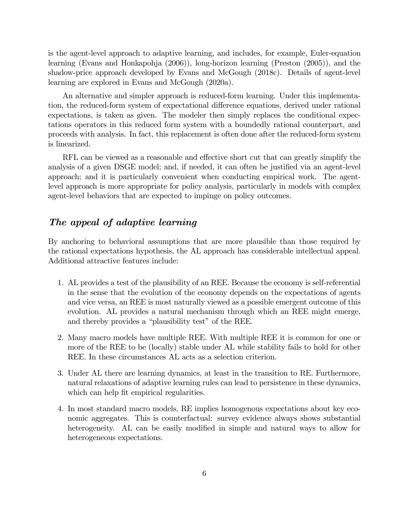is the agent-level approach to adaptive learning, and includes, for example, Euler-equation learning (Evans and Honkapohja (2006)), long-horizon learning (Preston (2005)), and the shadow-price approach developed by Evans and McGough (2018c). Details of agent-level learning are explored in Evans and McGough (2020a).

An alternative and simpler approach is reduced-form learning. Under this implementation, the reduced-form system of expectational difference equations, derived under rational expectations, is taken as given. The modeler then simply replaces the conditional expectations operators in this reduced form system with a boundedly rational counterpart, and proceeds with analysis. In fact, this replacement is often done after the reduced-form system is linearized.

RFL can be viewed as a reasonable and effective short cut that can greatly simplify the analysis of a given DSGE model; and, if needed, it can often be justified via an agent-level approach; and it is particularly convenient when conducting empirical work. The agentlevel approach is more appropriate for policy analysis, particularly in models with complex agent-level behaviors that are expected to impinge on policy outcomes.

## The appeal of adaptive learning

By anchoring to behavioral assumptions that are more plausible than those required by the rational expectations hypothesis, the AL approach has considerable intellectual appeal. Additional attractive features include:

- 1. AL provides a test of the plausibility of an REE. Because the economy is self-referential in the sense that the evolution of the economy depends on the expectations of agents and vice versa, an REE is most naturally viewed as a possible emergent outcome of this evolution. AL provides a natural mechanism through which an REE might emerge, and thereby provides a "plausibility test" of the REE.
- 2. Many macro models have multiple REE. With multiple REE it is common for one or more of the REE to be (locally) stable under AL while stability fails to hold for other REE. In these circumstances AL acts as a selection criterion.
- 3. Under AL there are learning dynamics, at least in the transition to RE. Furthermore, natural relaxations of adaptive learning rules can lead to persistence in these dynamics, which can help fit empirical regularities.
- 4. In most standard macro models, RE implies homogenous expectations about key economic aggregates. This is counterfactual: survey evidence always shows substantial heterogeneity. AL can be easily modified in simple and natural ways to allow for heterogeneous expectations.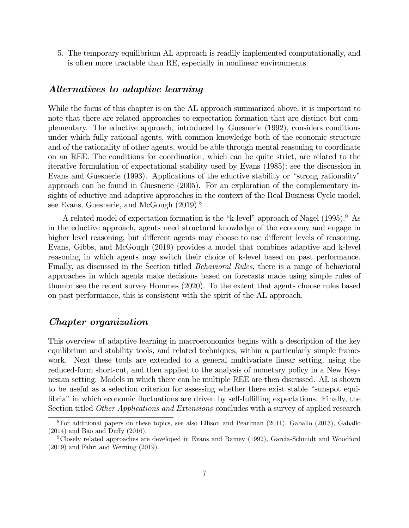5. The temporary equilibrium AL approach is readily implemented computationally, and is often more tractable than RE, especially in nonlinear environments.

### Alternatives to adaptive learning

While the focus of this chapter is on the AL approach summarized above, it is important to note that there are related approaches to expectation formation that are distinct but complementary. The eductive approach, introduced by Guesnerie (1992), considers conditions under which fully rational agents, with common knowledge both of the economic structure and of the rationality of other agents, would be able through mental reasoning to coordinate on an REE. The conditions for coordination, which can be quite strict, are related to the iterative formulation of expectational stability used by Evans (1985); see the discussion in Evans and Guesnerie (1993). Applications of the eductive stability or "strong rationality" approach can be found in Guesnerie (2005). For an exploration of the complementary insights of eductive and adaptive approaches in the context of the Real Business Cycle model, see Evans, Guesnerie, and McGough  $(2019)^8$ 

A related model of expectation formation is the "k-level" approach of Nagel (1995).<sup>9</sup> As in the eductive approach, agents need structural knowledge of the economy and engage in higher level reasoning, but different agents may choose to use different levels of reasoning. Evans, Gibbs, and McGough (2019) provides a model that combines adaptive and k-level reasoning in which agents may switch their choice of k-level based on past performance. Finally, as discussed in the Section titled Behavioral Rules, there is a range of behavioral approaches in which agents make decisions based on forecasts made using simple rules of thumb: see the recent survey Hommes (2020). To the extent that agents choose rules based on past performance, this is consistent with the spirit of the AL approach.

## Chapter organization

This overview of adaptive learning in macroeconomics begins with a description of the key equilibrium and stability tools, and related techniques, within a particularly simple framework. Next these tools are extended to a general multivariate linear setting, using the reduced-form short-cut, and then applied to the analysis of monetary policy in a New Keynesian setting. Models in which there can be multiple REE are then discussed. AL is shown to be useful as a selection criterion for assessing whether there exist stable "sunspot equilibria" in which economic fluctuations are driven by self-fulfilling expectations. Finally, the Section titled *Other Applications and Extensions* concludes with a survey of applied research

<sup>8</sup>For additional papers on these topics, see also Ellison and Pearlman (2011), Gaballo (2013), Gaballo (2014) and Bao and Duffy (2016).

 $9^9$ Closely related approaches are developed in Evans and Ramey (1992), Garcia-Schmidt and Woodford (2019) and Fahri and Werning (2019).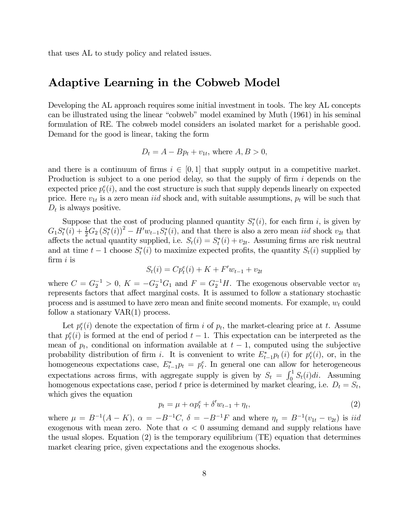that uses AL to study policy and related issues.

# Adaptive Learning in the Cobweb Model

Developing the AL approach requires some initial investment in tools. The key AL concepts can be illustrated using the linear "cobweb" model examined by Muth (1961) in his seminal formulation of RE. The cobweb model considers an isolated market for a perishable good. Demand for the good is linear, taking the form

$$
D_t = A - Bp_t + v_{1t}, \text{ where } A, B > 0,
$$

and there is a continuum of firms  $i \in [0,1]$  that supply output in a competitive market. Production is subject to a one period delay, so that the supply of firm  $i$  depends on the expected price  $p_t^e(i)$ , and the cost structure is such that supply depends linearly on expected price. Here  $v_{1t}$  is a zero mean *iid* shock and, with suitable assumptions,  $p_t$  will be such that  $D_t$  is always positive.

Suppose that the cost of producing planned quantity  $S_t^*(i)$ , for each firm i, is given by  $G_1 S_t^*(i) + \frac{1}{2} G_2 (S_t^*(i))^2 - H' w_{t-1} S_t^*(i)$ , and that there is also a zero mean *iid* shock  $v_{2t}$  that affects the actual quantity supplied, i.e.  $S_t(i) = S_t^*(i) + v_{2t}$ . Assuming firms are risk neutral and at time  $t-1$  choose  $S_t^*(i)$  to maximize expected profits, the quantity  $S_t(i)$  supplied by firm  $i$  is

$$
S_t(i) = Cp_t^e(i) + K + F'w_{t-1} + v_{2t}
$$

where  $C = G_2^{-1} > 0$ ,  $K = -G_2^{-1}G_1$  and  $F = G_2^{-1}H$ . The exogenous observable vector  $w_t$ represents factors that affect marginal costs. It is assumed to follow a stationary stochastic process and is assumed to have zero mean and finite second moments. For example,  $w_t$  could follow a stationary VAR(1) process.

Let  $p_t^e(i)$  denote the expectation of firm i of  $p_t$ , the market-clearing price at t. Assume that  $p_t^e(i)$  is formed at the end of period  $t-1$ . This expectation can be interpreted as the mean of  $p_t$ , conditional on information available at  $t-1$ , computed using the subjective probability distribution of firm *i*. It is convenient to write  $E_{t-1}^* p_t(i)$  for  $p_t^e(i)$ , or, in the homogeneous expectations case,  $E_{t-1}^* p_t = p_t^e$ . In general one can allow for heterogeneous expectations across firms, with aggregate supply is given by  $S_t = \int_0^1 S_t(i)di$ . Assuming homogenous expectations case, period t price is determined by market clearing, i.e.  $D_t = S_t$ , which gives the equation

$$
p_t = \mu + \alpha p_t^e + \delta' w_{t-1} + \eta_t,\tag{2}
$$

where  $\mu = B^{-1}(A - K)$ ,  $\alpha = -B^{-1}C$ ,  $\delta = -B^{-1}F$  and where  $\eta_t = B^{-1}(v_{1t} - v_{2t})$  is *iid* exogenous with mean zero. Note that  $\alpha < 0$  assuming demand and supply relations have the usual slopes. Equation (2) is the temporary equilibrium (TE) equation that determines market clearing price, given expectations and the exogenous shocks.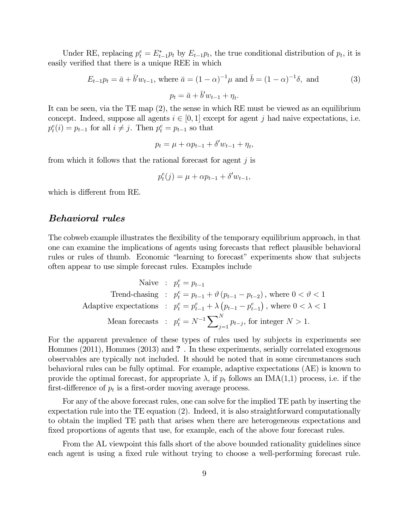Under RE, replacing  $p_t^e = E_{t-1}^* p_t$  by  $E_{t-1} p_t$ , the true conditional distribution of  $p_t$ , it is easily verified that there is a unique REE in which

$$
E_{t-1}p_t = \bar{a} + \bar{b}'w_{t-1}, \text{ where } \bar{a} = (1 - \alpha)^{-1}\mu \text{ and } \bar{b} = (1 - \alpha)^{-1}\delta, \text{ and}
$$
  
\n
$$
p_t = \bar{a} + \bar{b}'w_{t-1} + \eta_t.
$$
 (3)

It can be seen, via the TE map (2), the sense in which RE must be viewed as an equilibrium concept. Indeed, suppose all agents  $i \in [0,1]$  except for agent j had naive expectations, i.e.  $p_t^e(i) = p_{t-1}$  for all  $i \neq j$ . Then  $p_t^e = p_{t-1}$  so that

$$
p_t = \mu + \alpha p_{t-1} + \delta' w_{t-1} + \eta_t,
$$

from which it follows that the rational forecast for agent  $j$  is

$$
p_t^e(j) = \mu + \alpha p_{t-1} + \delta' w_{t-1},
$$

which is different from RE.

#### Behavioral rules

The cobweb example illustrates the flexibility of the temporary equilibrium approach, in that one can examine the implications of agents using forecasts that reflect plausible behavioral rules or rules of thumb. Economic "learning to forecast" experiments show that subjects often appear to use simple forecast rules. Examples include

$$
\begin{array}{rcl}\n\text{Naive} & : & p_t^e = p_{t-1} \\
\text{Trend-chasing} & : & p_t^e = p_{t-1} + \vartheta \left( p_{t-1} - p_{t-2} \right), \text{ where } 0 < \vartheta < 1 \\
\text{Adaptive expectations} & : & p_t^e = p_{t-1}^e + \lambda \left( p_{t-1} - p_{t-1}^e \right), \text{ where } 0 < \lambda < 1 \\
\text{Mean forecasts} & : & p_t^e = N^{-1} \sum\nolimits_{j=1}^N p_{t-j}, \text{ for integer } N > 1.\n\end{array}
$$

For the apparent prevalence of these types of rules used by subjects in experiments see Hommes (2011), Hommes (2013) and ? . In these experiments, serially correlated exogenous observables are typically not included. It should be noted that in some circumstances such behavioral rules can be fully optimal. For example, adaptive expectations (AE) is known to provide the optimal forecast, for appropriate  $\lambda$ , if  $p_t$  follows an IMA(1,1) process, i.e. if the first-difference of  $p_t$  is a first-order moving average process.

For any of the above forecast rules, one can solve for the implied TE path by inserting the expectation rule into the TE equation (2). Indeed, it is also straightforward computationally to obtain the implied TE path that arises when there are heterogeneous expectations and fixed proportions of agents that use, for example, each of the above four forecast rules.

From the AL viewpoint this falls short of the above bounded rationality guidelines since each agent is using a fixed rule without trying to choose a well-performing forecast rule.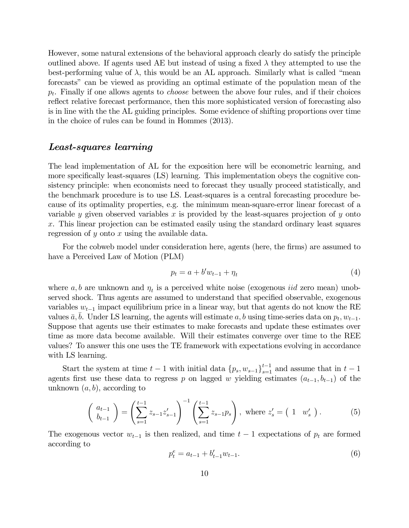However, some natural extensions of the behavioral approach clearly do satisfy the principle outlined above. If agents used AE but instead of using a fixed  $\lambda$  they attempted to use the best-performing value of  $\lambda$ , this would be an AL approach. Similarly what is called "mean forecasts" can be viewed as providing an optimal estimate of the population mean of the  $p_t$ . Finally if one allows agents to *choose* between the above four rules, and if their choices reflect relative forecast performance, then this more sophisticated version of forecasting also is in line with the the AL guiding principles. Some evidence of shifting proportions over time in the choice of rules can be found in Hommes (2013).

### Least-squares learning

The lead implementation of AL for the exposition here will be econometric learning, and more specifically least-squares (LS) learning. This implementation obeys the cognitive consistency principle: when economists need to forecast they usually proceed statistically, and the benchmark procedure is to use LS. Least-squares is a central forecasting procedure because of its optimality properties, e.g. the minimum mean-square-error linear forecast of a variable  $y$  given observed variables  $x$  is provided by the least-squares projection of  $y$  onto . This linear projection can be estimated easily using the standard ordinary least squares regression of  $y$  onto  $x$  using the available data.

For the cobweb model under consideration here, agents (here, the firms) are assumed to have a Perceived Law of Motion (PLM)

$$
p_t = a + b' w_{t-1} + \eta_t \tag{4}
$$

where  $a, b$  are unknown and  $\eta_t$  is a perceived white noise (exogenous *iid* zero mean) unobserved shock. Thus agents are assumed to understand that specified observable, exogenous variables  $w_{t-1}$  impact equilibrium price in a linear way, but that agents do not know the RE values  $\bar{a}, b$ . Under LS learning, the agents will estimate  $a, b$  using time-series data on  $p_t, w_{t-1}$ . Suppose that agents use their estimates to make forecasts and update these estimates over time as more data become available. Will their estimates converge over time to the REE values? To answer this one uses the TE framework with expectations evolving in accordance with LS learning.

Start the system at time  $t-1$  with initial data  $\{p_s, w_{s-1}\}_{s=1}^{t-1}$  and assume that in  $t-1$ agents first use these data to regress  $p$  on lagged  $w$  yielding estimates  $(a_{t-1}, b_{t-1})$  of the unknown  $(a, b)$ , according to

$$
\begin{pmatrix} a_{t-1} \\ b_{t-1} \end{pmatrix} = \left( \sum_{s=1}^{t-1} z_{s-1} z_{s-1}' \right)^{-1} \left( \sum_{s=1}^{t-1} z_{s-1} p_s \right), \text{ where } z_s' = \begin{pmatrix} 1 & w_s' \end{pmatrix}. \tag{5}
$$

The exogenous vector  $w_{t-1}$  is then realized, and time  $t-1$  expectations of  $p_t$  are formed according to

$$
p_t^e = a_{t-1} + b'_{t-1} w_{t-1}.
$$
\n<sup>(6)</sup>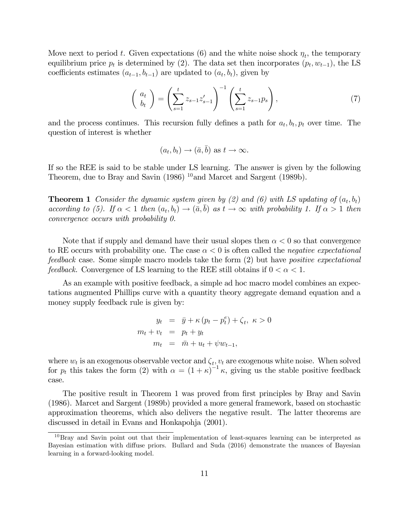Move next to period t. Given expectations (6) and the white noise shock  $\eta_t$ , the temporary equilibrium price  $p_t$  is determined by (2). The data set then incorporates  $(p_t, w_{t-1})$ , the LS coefficients estimates  $(a_{t-1}, b_{t-1})$  are updated to  $(a_t, b_t)$ , given by

$$
\begin{pmatrix} a_t \\ b_t \end{pmatrix} = \left( \sum_{s=1}^t z_{s-1} z_{s-1}' \right)^{-1} \left( \sum_{s=1}^t z_{s-1} p_s \right), \tag{7}
$$

and the process continues. This recursion fully defines a path for  $a_t, b_t, p_t$  over time. The question of interest is whether

$$
(a_t, b_t) \rightarrow (\bar{a}, \bar{b})
$$
 as  $t \rightarrow \infty$ .

If so the REE is said to be stable under LS learning. The answer is given by the following Theorem, due to Bray and Savin (1986) <sup>10</sup>and Marcet and Sargent (1989b).

**Theorem 1** Consider the dynamic system given by (2) and (6) with LS updating of  $(a_t, b_t)$ according to (5). If  $\alpha < 1$  then  $(a_t, b_t) \rightarrow (\bar{a}, \bar{b})$  as  $t \rightarrow \infty$  with probability 1. If  $\alpha > 1$  then convergence occurs with probability 0.

Note that if supply and demand have their usual slopes then  $\alpha < 0$  so that convergence to RE occurs with probability one. The case  $\alpha < 0$  is often called the *negative expectational* feedback case. Some simple macro models take the form (2) but have positive expectational *feedback.* Convergence of LS learning to the REE still obtains if  $0 < \alpha < 1$ .

As an example with positive feedback, a simple ad hoc macro model combines an expectations augmented Phillips curve with a quantity theory aggregate demand equation and a money supply feedback rule is given by:

$$
y_t = \bar{y} + \kappa (p_t - p_t^e) + \zeta_t, \ \kappa > 0
$$
  

$$
m_t + v_t = p_t + y_t
$$
  

$$
m_t = \bar{m} + u_t + \psi w_{t-1},
$$

where  $w_t$  is an exogenous observable vector and  $\zeta_t$ ,  $v_t$  are exogenous white noise. When solved for  $p_t$  this takes the form (2) with  $\alpha = (1 + \kappa)^{-1} \kappa$ , giving us the stable positive feedback case.

The positive result in Theorem 1 was proved from first principles by Bray and Savin (1986). Marcet and Sargent (1989b) provided a more general framework, based on stochastic approximation theorems, which also delivers the negative result. The latter theorems are discussed in detail in Evans and Honkapohja (2001).

 $10B$ ray and Savin point out that their implementation of least-squares learning can be interpreted as Bayesian estimation with diffuse priors. Bullard and Suda (2016) demonstrate the nuances of Bayesian learning in a forward-looking model.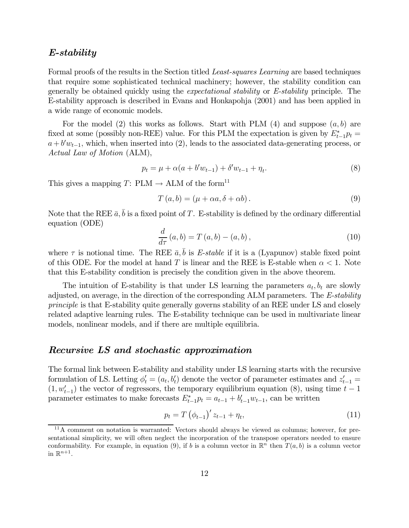### E-stability

Formal proofs of the results in the Section titled Least-squares Learning are based techniques that require some sophisticated technical machinery; however, the stability condition can generally be obtained quickly using the expectational stability or E-stability principle. The E-stability approach is described in Evans and Honkapohja (2001) and has been applied in a wide range of economic models.

For the model (2) this works as follows. Start with PLM (4) and suppose  $(a, b)$  are fixed at some (possibly non-REE) value. For this PLM the expectation is given by  $E_{t-1}^* p_t =$  $a + b'w_{t-1}$ , which, when inserted into (2), leads to the associated data-generating process, or Actual Law of Motion (ALM),

$$
p_t = \mu + \alpha(a + b'w_{t-1}) + \delta'w_{t-1} + \eta_t.
$$
\n(8)

This gives a mapping T: PLM  $\rightarrow$  ALM of the form<sup>11</sup>

$$
T(a,b) = (\mu + \alpha a, \delta + \alpha b). \tag{9}
$$

Note that the REE  $\bar{a}$ ,  $\bar{b}$  is a fixed point of T. E-stability is defined by the ordinary differential equation (ODE)

$$
\frac{d}{d\tau}(a,b) = T(a,b) - (a,b),\qquad(10)
$$

where  $\tau$  is notional time. The REE  $\bar{a}, \bar{b}$  is E-stable if it is a (Lyapunov) stable fixed point of this ODE. For the model at hand T is linear and the REE is E-stable when  $\alpha < 1$ . Note that this E-stability condition is precisely the condition given in the above theorem.

The intuition of E-stability is that under LS learning the parameters  $a_t, b_t$  are slowly adjusted, on average, in the direction of the corresponding ALM parameters. The E-stability principle is that E-stability quite generally governs stability of an REE under LS and closely related adaptive learning rules. The E-stability technique can be used in multivariate linear models, nonlinear models, and if there are multiple equilibria.

## Recursive LS and stochastic approximation

The formal link between E-stability and stability under LS learning starts with the recursive formulation of LS. Letting  $\phi'_t = (a_t, b'_t)$  denote the vector of parameter estimates and  $z'_{t-1} = (a_t, b'_t)$  $(1, w'_{t-1})$  the vector of regressors, the temporary equilibrium equation (8), using time  $t-1$ parameter estimates to make forecasts  $E_{t-1}^* p_t = a_{t-1} + b'_{t-1} w_{t-1}$ , can be written

$$
p_t = T\left(\phi_{t-1}\right)' z_{t-1} + \eta_t,\tag{11}
$$

<sup>&</sup>lt;sup>11</sup>A comment on notation is warranted: Vectors should always be viewed as columns; however, for presentational simplicity, we will often neglect the incorporation of the transpose operators needed to ensure conformability. For example, in equation (9), if b is a column vector in  $\mathbb{R}^n$  then  $T(a, b)$  is a column vector in  $\mathbb{R}^{n+1}$ .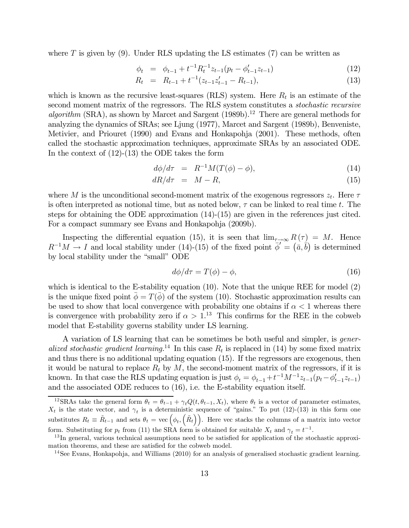where  $T$  is given by (9). Under RLS updating the LS estimates (7) can be written as

$$
\phi_t = \phi_{t-1} + t^{-1} R_t^{-1} z_{t-1} (p_t - \phi_{t-1}' z_{t-1}) \tag{12}
$$

$$
R_t = R_{t-1} + t^{-1} (z_{t-1} z_{t-1}' - R_{t-1}), \tag{13}
$$

which is known as the recursive least-squares (RLS) system. Here  $R_t$  is an estimate of the second moment matrix of the regressors. The RLS system constitutes a stochastic recursive algorithm (SRA), as shown by Marcet and Sargent (1989b).<sup>12</sup> There are general methods for analyzing the dynamics of SRAs; see Ljung (1977), Marcet and Sargent (1989b), Benveniste, Metivier, and Priouret (1990) and Evans and Honkapohja (2001). These methods, often called the stochastic approximation techniques, approximate SRAs by an associated ODE. In the context of  $(12)-(13)$  the ODE takes the form

$$
d\phi/d\tau = R^{-1}M(T(\phi) - \phi), \qquad (14)
$$

$$
dR/d\tau = M - R,\t\t(15)
$$

where M is the unconditional second-moment matrix of the exogenous regressors  $z_t$ . Here  $\tau$ is often interpreted as notional time, but as noted below,  $\tau$  can be linked to real time t. The steps for obtaining the ODE approximation  $(14)-(15)$  are given in the references just cited. For a compact summary see Evans and Honkapohja (2009b).

Inspecting the differential equation (15), it is seen that  $\lim_{\tau\to\infty} R(\tau) = M$ . Hence  $R^{-1}M \to I$  and local stability under (14)-(15) of the fixed point  $\phi' = (\bar{a}, \bar{b})$  is determined by local stability under the "small" ODE

$$
d\phi/d\tau = T(\phi) - \phi,\tag{16}
$$

which is identical to the E-stability equation  $(10)$ . Note that the unique REE for model  $(2)$ is the unique fixed point  $\bar{\phi} = T(\bar{\phi})$  of the system (10). Stochastic approximation results can be used to show that local convergence with probability one obtains if  $\alpha < 1$  whereas there is convergence with probability zero if  $\alpha > 1$ .<sup>13</sup> This confirms for the REE in the cobweb model that E-stability governs stability under LS learning.

A variation of LS learning that can be sometimes be both useful and simpler, is generalized stochastic gradient learning.<sup>14</sup> In this case  $R_t$  is replaced in (14) by some fixed matrix and thus there is no additional updating equation (15). If the regressors are exogenous, then it would be natural to replace  $R_t$  by M, the second-moment matrix of the regressors, if it is known. In that case the RLS updating equation is just  $\phi_t = \phi_{t-1} + t^{-1}M^{-1}z_{t-1}(p_t - \phi'_{t-1}z_{t-1})$ and the associated ODE reduces to (16), i.e. the E-stability equation itself.

<sup>&</sup>lt;sup>12</sup>SRAs take the general form  $\theta_t = \theta_{t-1} + \gamma_t Q(t, \theta_{t-1}, X_t)$ , where  $\theta_t$  is a vector of parameter estimates,  $X_t$  is the state vector, and  $\gamma_t$  is a deterministic sequence of "gains." To put (12)-(13) in this form one substitutes  $R_t \equiv \tilde{R}_{t-1}$  and sets  $\theta_t = \text{vec}(\phi_t, \left(\tilde{R}_t\right))$ . Here vec stacks the columns of a matrix into vector

form. Substituting for  $p_t$  from (11) the SRA form is obtained for suitable  $X_t$  and  $\gamma_t = t^{-1}$ .<br><sup>13</sup>In general, various technical assumptions need to be satisfied for application of the stochastic approximation theorems, and these are satisfied for the cobweb model.

 $14$ See Evans, Honkapohja, and Williams (2010) for an analysis of generalised stochastic gradient learning.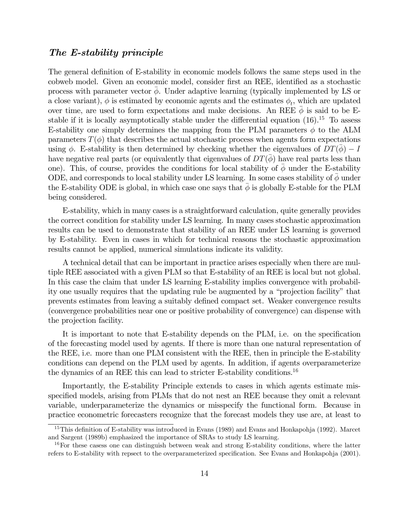### The E-stability principle

The general definition of E-stability in economic models follows the same steps used in the cobweb model. Given an economic model, consider first an REE, identified as a stochastic process with parameter vector  $\phi$ . Under adaptive learning (typically implemented by LS or a close variant),  $\phi$  is estimated by economic agents and the estimates  $\phi_t$ , which are updated over time, are used to form expectations and make decisions. An REE  $\overline{\phi}$  is said to be Estable if it is locally asymptotically stable under the differential equation  $(16)$ .<sup>15</sup> To assess E-stability one simply determines the mapping from the PLM parameters  $\phi$  to the ALM parameters  $T(\phi)$  that describes the actual stochastic process when agents form expectations using  $\phi$ . E-stability is then determined by checking whether the eigenvalues of  $DT(\phi) - I$ have negative real parts (or equivalently that eigenvalues of  $DT(\phi)$  have real parts less than one). This, of course, provides the conditions for local stability of  $\phi$  under the E-stability ODE, and corresponds to local stability under LS learning. In some cases stability of  $\bar{\phi}$  under the E-stability ODE is global, in which case one says that  $\phi$  is globally E-stable for the PLM being considered.

E-stability, which in many cases is a straightforward calculation, quite generally provides the correct condition for stability under LS learning. In many cases stochastic approximation results can be used to demonstrate that stability of an REE under LS learning is governed by E-stability. Even in cases in which for technical reasons the stochastic approximation results cannot be applied, numerical simulations indicate its validity.

A technical detail that can be important in practice arises especially when there are multiple REE associated with a given PLM so that E-stability of an REE is local but not global. In this case the claim that under LS learning E-stability implies convergence with probability one usually requires that the updating rule be augmented by a "projection facility" that prevents estimates from leaving a suitably defined compact set. Weaker convergence results (convergence probabilities near one or positive probability of convergence) can dispense with the projection facility.

It is important to note that E-stability depends on the PLM, i.e. on the specification of the forecasting model used by agents. If there is more than one natural representation of the REE, i.e. more than one PLM consistent with the REE, then in principle the E-stability conditions can depend on the PLM used by agents. In addition, if agents overparameterize the dynamics of an REE this can lead to stricter E-stability conditions.16

Importantly, the E-stability Principle extends to cases in which agents estimate misspecified models, arising from PLMs that do not nest an REE because they omit a relevant variable, underparameterize the dynamics or misspecify the functional form. Because in practice econometric forecasters recognize that the forecast models they use are, at least to

<sup>&</sup>lt;sup>15</sup>This definition of E-stability was introduced in Evans (1989) and Evans and Honkapohja (1992). Marcet and Sargent (1989b) emphasized the importance of SRAs to study LS learning.

 $16$ For these casess one can distinguish between weak and strong E-stability conditions, where the latter refers to E-stability with repsect to the overparameterized specification. See Evans and Honkapohja (2001).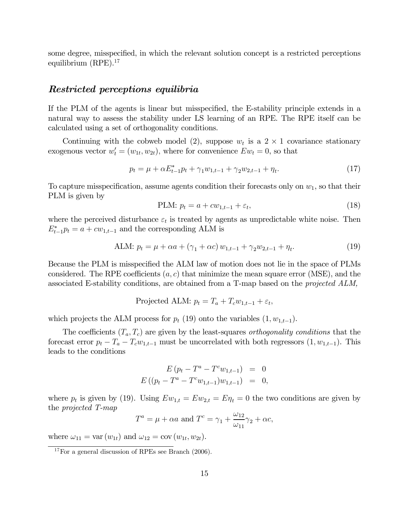some degree, misspecified, in which the relevant solution concept is a restricted perceptions equilibrium (RPE).<sup>17</sup>

#### Restricted perceptions equilibria

If the PLM of the agents is linear but misspecified, the E-stability principle extends in a natural way to assess the stability under LS learning of an RPE. The RPE itself can be calculated using a set of orthogonality conditions.

Continuing with the cobweb model (2), suppose  $w_t$  is a 2 × 1 covariance stationary exogenous vector  $w'_t = (w_{1t}, w_{2t})$ , where for convenience  $Ew_t = 0$ , so that

$$
p_t = \mu + \alpha E_{t-1}^* p_t + \gamma_1 w_{1,t-1} + \gamma_2 w_{2,t-1} + \eta_t.
$$
\n
$$
(17)
$$

To capture misspecification, assume agents condition their forecasts only on  $w_1$ , so that their PLM is given by

PLM: 
$$
p_t = a + cw_{1,t-1} + \varepsilon_t,
$$
\n
$$
(18)
$$

where the perceived disturbance  $\varepsilon_t$  is treated by agents as unpredictable white noise. Then  $E_{t-1}^* p_t = a + cw_{1,t-1}$  and the corresponding ALM is

ALM: 
$$
p_t = \mu + \alpha a + (\gamma_1 + \alpha c) w_{1,t-1} + \gamma_2 w_{2,t-1} + \eta_t.
$$
 (19)

Because the PLM is misspecified the ALM law of motion does not lie in the space of PLMs considered. The RPE coefficients  $(a, c)$  that minimize the mean square error (MSE), and the associated E-stability conditions, are obtained from a T-map based on the projected ALM,

$$
Projected ALM: p_t = T_a + T_c w_{1,t-1} + \varepsilon_t,
$$

which projects the ALM process for  $p_t$  (19) onto the variables  $(1, w_{1,t-1})$ .

The coefficients  $(T_a, T_c)$  are given by the least-squares *orthogonality conditions* that the forecast error  $p_t - T_a - T_c w_{1,t-1}$  must be uncorrelated with both regressors  $(1, w_{1,t-1})$ . This leads to the conditions

$$
E (p_t - T^a - T^c w_{1,t-1}) = 0
$$
  

$$
E ((p_t - T^a - T^c w_{1,t-1}) w_{1,t-1}) = 0,
$$

where  $p_t$  is given by (19). Using  $E w_{1,t} = E w_{2,t} = E \eta_t = 0$  the two conditions are given by the projected T-map

$$
T^{a} = \mu + \alpha a \text{ and } T^{c} = \gamma_{1} + \frac{\omega_{12}}{\omega_{11}}\gamma_{2} + \alpha c,
$$

where  $\omega_{11} = \text{var}(w_{1t})$  and  $\omega_{12} = \text{cov}(w_{1t}, w_{2t}).$ 

 $17$  For a general discussion of RPEs see Branch (2006).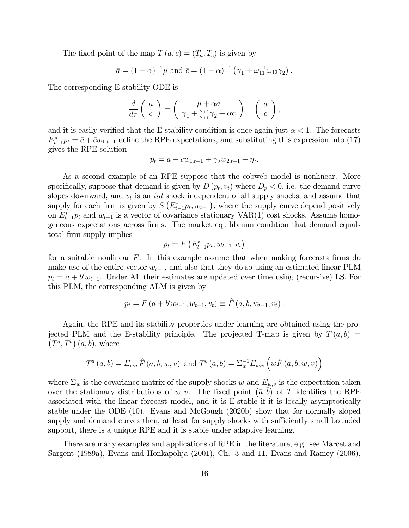The fixed point of the map  $T (a, c) = (T_a, T_c)$  is given by

$$
\bar{a} = (1 - \alpha)^{-1} \mu
$$
 and  $\bar{c} = (1 - \alpha)^{-1} (\gamma_1 + \omega_{11}^{-1} \omega_{12} \gamma_2).$ 

The corresponding E-stability ODE is

$$
\frac{d}{d\tau}\left(\begin{array}{c}a\\c\end{array}\right)=\left(\begin{array}{c}\mu+\alpha a\\\gamma_1+\frac{\omega_{12}}{\omega_{11}}\gamma_2+\alpha c\end{array}\right)-\left(\begin{array}{c}a\\c\end{array}\right),
$$

and it is easily verified that the E-stability condition is once again just  $\alpha < 1$ . The forecasts  $E_{t-1}^* p_t = \bar{a} + \bar{c} w_{1,t-1}$  define the RPE expectations, and substituting this expression into (17) gives the RPE solution

$$
p_t = \bar{a} + \bar{c}w_{1,t-1} + \gamma_2 w_{2,t-1} + \eta_t.
$$

As a second example of an RPE suppose that the cobweb model is nonlinear. More specifically, suppose that demand is given by  $D(p_t, v_t)$  where  $D_p < 0$ , i.e. the demand curve slopes downward, and  $v_t$  is an *iid* shock independent of all supply shocks; and assume that supply for each firm is given by  $S(E_{t-1}^* p_t, w_{t-1})$ , where the supply curve depend positively on  $E_{t-1}^* p_t$  and  $w_{t-1}$  is a vector of covariance stationary VAR(1) cost shocks. Assume homogeneous expectations across firms. The market equilibrium condition that demand equals total firm supply implies

$$
p_t = F\left(E_{t-1}^* p_t, w_{t-1}, v_t\right)
$$

for a suitable nonlinear  $F$ . In this example assume that when making forecasts firms do make use of the entire vector  $w_{t-1}$ , and also that they do so using an estimated linear PLM  $p_t = a + b' w_{t-1}$ . Under AL their estimates are updated over time using (recursive) LS. For this PLM, the corresponding ALM is given by

$$
p_t = F(a + b'w_{t-1}, w_{t-1}, v_t) \equiv \hat{F}(a, b, w_{t-1}, v_t).
$$

Again, the RPE and its stability properties under learning are obtained using the projected PLM and the E-stability principle. The projected T-map is given by  $T(a, b)$  =  $(T^a, T^b)$   $(a, b)$ , where

$$
T^{a}(a,b) = E_{w,v}\hat{F}(a,b,w,v) \text{ and } T^{b}(a,b) = \sum_{w=0}^{-1} E_{w,v}\left(w\hat{F}(a,b,w,v)\right)
$$

where  $\Sigma_w$  is the covariance matrix of the supply shocks w and  $E_{w,v}$  is the expectation taken over the stationary distributions of w, v. The fixed point  $(\bar{a}, \bar{b})$  of T identifies the RPE associated with the linear forecast model, and it is E-stable if it is locally asymptotically stable under the ODE (10). Evans and McGough (2020b) show that for normally sloped supply and demand curves then, at least for supply shocks with sufficiently small bounded support, there is a unique RPE and it is stable under adaptive learning.

There are many examples and applications of RPE in the literature, e.g. see Marcet and Sargent (1989a), Evans and Honkapohja (2001), Ch. 3 and 11, Evans and Ramey (2006),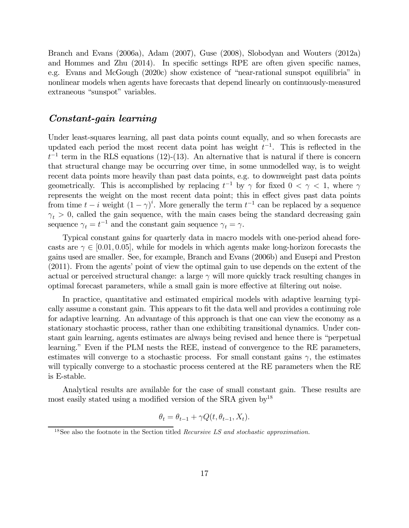Branch and Evans (2006a), Adam (2007), Guse (2008), Slobodyan and Wouters (2012a) and Hommes and Zhu (2014). In specific settings RPE are often given specific names, e.g. Evans and McGough (2020c) show existence of "near-rational sunspot equilibria" in nonlinear models when agents have forecasts that depend linearly on continuously-measured extraneous "sunspot" variables.

## Constant-gain learning

Under least-squares learning, all past data points count equally, and so when forecasts are updated each period the most recent data point has weight  $t^{-1}$ . This is reflected in the  $t^{-1}$  term in the RLS equations (12)-(13). An alternative that is natural if there is concern that structural change may be occurring over time, in some unmodelled way, is to weight recent data points more heavily than past data points, e.g. to downweight past data points geometrically. This is accomplished by replacing  $t^{-1}$  by  $\gamma$  for fixed  $0 < \gamma < 1$ , where  $\gamma$ represents the weight on the most recent data point; this in effect gives past data points from time  $t - i$  weight  $(1 - \gamma)^i$ . More generally the term  $t^{-1}$  can be replaced by a sequence  $\gamma_t > 0$ , called the gain sequence, with the main cases being the standard decreasing gain sequence  $\gamma_t = t^{-1}$  and the constant gain sequence  $\gamma_t = \gamma$ .

Typical constant gains for quarterly data in macro models with one-period ahead forecasts are  $\gamma \in [0.01, 0.05]$ , while for models in which agents make long-horizon forecasts the gains used are smaller. See, for example, Branch and Evans (2006b) and Eusepi and Preston (2011). From the agents' point of view the optimal gain to use depends on the extent of the actual or perceived structural change: a large  $\gamma$  will more quickly track resulting changes in optimal forecast parameters, while a small gain is more effective at filtering out noise.

In practice, quantitative and estimated empirical models with adaptive learning typically assume a constant gain. This appears to fit the data well and provides a continuing role for adaptive learning. An advantage of this approach is that one can view the economy as a stationary stochastic process, rather than one exhibiting transitional dynamics. Under constant gain learning, agents estimates are always being revised and hence there is "perpetual learning." Even if the PLM nests the REE, instead of convergence to the RE parameters, estimates will converge to a stochastic process. For small constant gains  $\gamma$ , the estimates will typically converge to a stochastic process centered at the RE parameters when the RE is E-stable.

Analytical results are available for the case of small constant gain. These results are most easily stated using a modified version of the SRA given by<sup>18</sup>

$$
\theta_t = \theta_{t-1} + \gamma Q(t, \theta_{t-1}, X_t).
$$

 $18$ See also the footnote in the Section titled *Recursive LS and stochastic approximation*.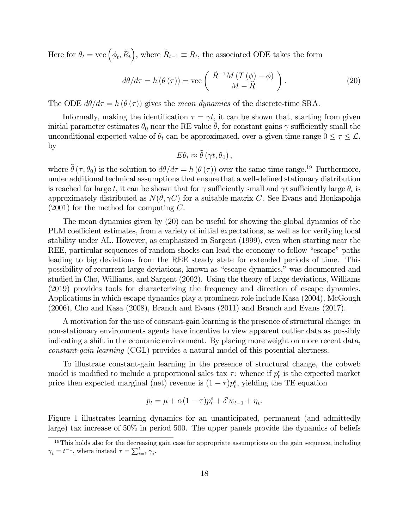Here for  $\theta_t = \text{vec}(\phi_t, \tilde{R}_t)$ , where  $\tilde{R}_{t-1} \equiv R_t$ , the associated ODE takes the form

$$
d\theta/d\tau = h(\theta(\tau)) = \text{vec}\left(\frac{\tilde{R}^{-1}M(T(\phi) - \phi)}{M - \tilde{R}}\right). \tag{20}
$$

The ODE  $d\theta/d\tau = h(\theta(\tau))$  gives the *mean dynamics* of the discrete-time SRA.

Informally, making the identification  $\tau = \gamma t$ , it can be shown that, starting from given initial parameter estimates  $\theta_0$  near the RE value  $\theta$ , for constant gains  $\gamma$  sufficiently small the unconditional expected value of  $\theta_t$  can be approximated, over a given time range  $0 \leq \tau \leq \mathcal{L}$ , by

$$
E\theta_t \approx \tilde{\theta} \left(\gamma t, \theta_0\right),
$$

where  $\hat{\theta}(\tau,\theta_0)$  is the solution to  $d\theta/d\tau = h(\theta(\tau))$  over the same time range.<sup>19</sup> Furthermore, under additional technical assumptions that ensure that a well-defined stationary distribution is reached for large t, it can be shown that for  $\gamma$  sufficiently small and  $\gamma t$  sufficiently large  $\theta_t$  is approximately distributed as  $N(\bar{\theta}, \gamma C)$  for a suitable matrix C. See Evans and Honkapohja  $(2001)$  for the method for computing C.

The mean dynamics given by (20) can be useful for showing the global dynamics of the PLM coefficient estimates, from a variety of initial expectations, as well as for verifying local stability under AL. However, as emphasized in Sargent (1999), even when starting near the REE, particular sequences of random shocks can lead the economy to follow "escape" paths leading to big deviations from the REE steady state for extended periods of time. This possibility of recurrent large deviations, known as "escape dynamics," was documented and studied in Cho, Williams, and Sargent (2002). Using the theory of large deviations, Williams (2019) provides tools for characterizing the frequency and direction of escape dynamics. Applications in which escape dynamics play a prominent role include Kasa (2004), McGough (2006), Cho and Kasa (2008), Branch and Evans (2011) and Branch and Evans (2017).

A motivation for the use of constant-gain learning is the presence of structural change: in non-stationary environments agents have incentive to view apparent outlier data as possibly indicating a shift in the economic environment. By placing more weight on more recent data, constant-gain learning (CGL) provides a natural model of this potential alertness.

To illustrate constant-gain learning in the presence of structural change, the cobweb model is modified to include a proportional sales tax  $\tau$ : whence if  $p_t^e$  is the expected market price then expected marginal (net) revenue is  $(1 - \tau)p_t^e$ , yielding the TE equation

$$
p_t = \mu + \alpha (1 - \tau) p_t^e + \delta' w_{t-1} + \eta_t.
$$

Figure 1 illustrates learning dynamics for an unanticipated, permanent (and admittedly large) tax increase of 50% in period 500. The upper panels provide the dynamics of beliefs

 $19$ This holds also for the decreasing gain case for appropriate assumptions on the gain sequence, including  $\gamma_t = t^{-1}$ , where instead  $\tau = \sum_{i=1}^t \gamma_i$ .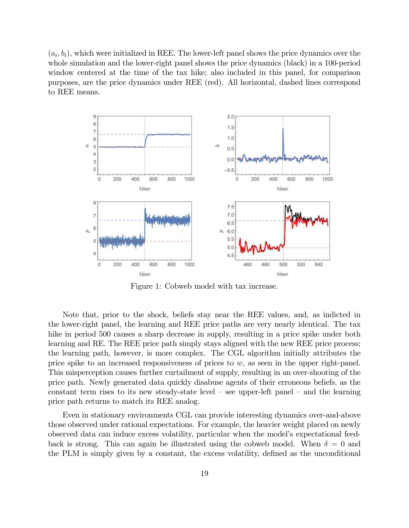$(a_t, b_t)$ , which were initialized in REE. The lower-left panel shows the price dynamics over the whole simulation and the lower-right panel shows the price dynamics (black) in a 100-period window centered at the time of the tax hike; also included in this panel, for comparison purposes, are the price dynamics under REE (red). All horizontal, dashed lines correspond to REE means.



Figure 1: Cobweb model with tax increase.

Note that, prior to the shock, beliefs stay near the REE values, and, as indicted in the lower-right panel, the learning and REE price paths are very nearly identical. The tax hike in period 500 causes a sharp decrease in supply, resulting in a price spike under both learning and RE. The REE price path simply stays aligned with the new REE price process; the learning path, however, is more complex. The CGL algorithm initially attributes the price spike to an increased responsiveness of prices to  $w$ , as seen in the upper right-panel. This misperception causes further curtailment of supply, resulting in an over-shooting of the price path. Newly generated data quickly disabuse agents of their erroneous beliefs, as the constant term rises to its new steady-state level — see upper-left panel — and the learning price path returns to match its REE analog.

Even in stationary environments CGL can provide interesting dynamics over-and-above those observed under rational expectations. For example, the heavier weight placed on newly observed data can induce excess volatility, particular when the model's expectational feedback is strong. This can again be illustrated using the cobweb model. When  $\delta = 0$  and the PLM is simply given by a constant, the excess volatility, defined as the unconditional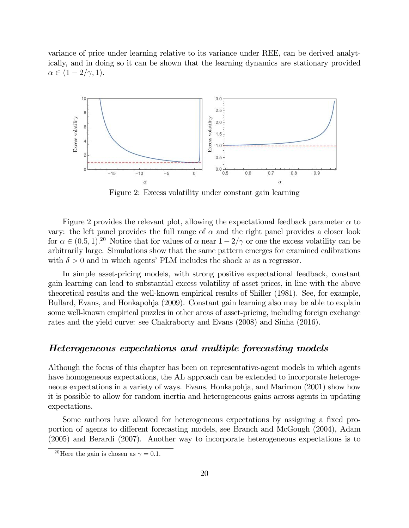variance of price under learning relative to its variance under REE, can be derived analytically, and in doing so it can be shown that the learning dynamics are stationary provided  $\alpha \in (1-2/\gamma, 1).$ 



Figure 2: Excess volatility under constant gain learning

Figure 2 provides the relevant plot, allowing the expectational feedback parameter  $\alpha$  to vary: the left panel provides the full range of  $\alpha$  and the right panel provides a closer look for  $\alpha \in (0.5, 1).^{20}$  Notice that for values of  $\alpha$  near  $1 - 2/\gamma$  or one the excess volatility can be arbitrarily large. Simulations show that the same pattern emerges for examined calibrations with  $\delta > 0$  and in which agents' PLM includes the shock w as a regressor.

In simple asset-pricing models, with strong positive expectational feedback, constant gain learning can lead to substantial excess volatility of asset prices, in line with the above theoretical results and the well-known empirical results of Shiller (1981). See, for example, Bullard, Evans, and Honkapohja (2009). Constant gain learning also may be able to explain some well-known empirical puzzles in other areas of asset-pricing, including foreign exchange rates and the yield curve: see Chakraborty and Evans (2008) and Sinha (2016).

### Heterogeneous expectations and multiple forecasting models

Although the focus of this chapter has been on representative-agent models in which agents have homogeneous expectations, the AL approach can be extended to incorporate heterogeneous expectations in a variety of ways. Evans, Honkapohja, and Marimon (2001) show how it is possible to allow for random inertia and heterogeneous gains across agents in updating expectations.

Some authors have allowed for heterogeneous expectations by assigning a fixed proportion of agents to different forecasting models, see Branch and McGough (2004), Adam (2005) and Berardi (2007). Another way to incorporate heterogeneous expectations is to

<sup>&</sup>lt;sup>20</sup>Here the gain is chosen as  $\gamma = 0.1$ .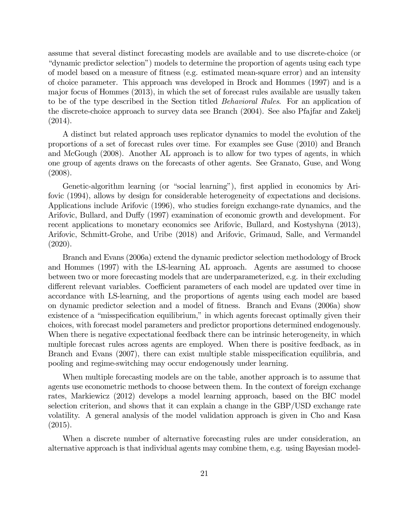assume that several distinct forecasting models are available and to use discrete-choice (or "dynamic predictor selection") models to determine the proportion of agents using each type of model based on a measure of fitness (e.g. estimated mean-square error) and an intensity of choice parameter. This approach was developed in Brock and Hommes (1997) and is a major focus of Hommes (2013), in which the set of forecast rules available are usually taken to be of the type described in the Section titled Behavioral Rules. For an application of the discrete-choice approach to survey data see Branch (2004). See also Pfajfar and Zakelj (2014).

A distinct but related approach uses replicator dynamics to model the evolution of the proportions of a set of forecast rules over time. For examples see Guse (2010) and Branch and McGough (2008). Another AL approach is to allow for two types of agents, in which one group of agents draws on the forecasts of other agents. See Granato, Guse, and Wong (2008).

Genetic-algorithm learning (or "social learning"), first applied in economics by Arifovic (1994), allows by design for considerable heterogeneity of expectations and decisions. Applications include Arifovic (1996), who studies foreign exchange-rate dynamics, and the Arifovic, Bullard, and Duffy (1997) examination of economic growth and development. For recent applications to monetary economics see Arifovic, Bullard, and Kostyshyna (2013), Arifovic, Schmitt-Grohe, and Uribe (2018) and Arifovic, Grimaud, Salle, and Vermandel (2020).

Branch and Evans (2006a) extend the dynamic predictor selection methodology of Brock and Hommes (1997) with the LS-learning AL approach. Agents are assumed to choose between two or more forecasting models that are underparameterized, e.g. in their excluding different relevant variables. Coefficient parameters of each model are updated over time in accordance with LS-learning, and the proportions of agents using each model are based on dynamic predictor selection and a model of fitness. Branch and Evans (2006a) show existence of a "misspecification equilibrium," in which agents forecast optimally given their choices, with forecast model parameters and predictor proportions determined endogenously. When there is negative expectational feedback there can be intrinsic heterogeneity, in which multiple forecast rules across agents are employed. When there is positive feedback, as in Branch and Evans (2007), there can exist multiple stable misspecification equilibria, and pooling and regime-switching may occur endogenously under learning.

When multiple forecasting models are on the table, another approach is to assume that agents use econometric methods to choose between them. In the context of foreign exchange rates, Markiewicz (2012) develops a model learning approach, based on the BIC model selection criterion, and shows that it can explain a change in the GBP/USD exchange rate volatility. A general analysis of the model validation approach is given in Cho and Kasa (2015).

When a discrete number of alternative forecasting rules are under consideration, an alternative approach is that individual agents may combine them, e.g. using Bayesian model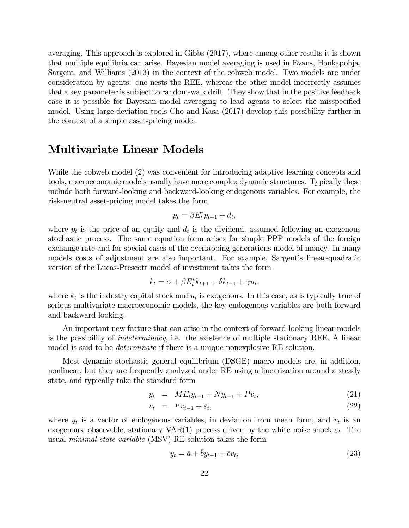averaging. This approach is explored in Gibbs (2017), where among other results it is shown that multiple equilibria can arise. Bayesian model averaging is used in Evans, Honkapohja, Sargent, and Williams (2013) in the context of the cobweb model. Two models are under consideration by agents: one nests the REE, whereas the other model incorrectly assumes that a key parameter is subject to random-walk drift. They show that in the positive feedback case it is possible for Bayesian model averaging to lead agents to select the misspecified model. Using large-deviation tools Cho and Kasa (2017) develop this possibility further in the context of a simple asset-pricing model.

## Multivariate Linear Models

While the cobweb model (2) was convenient for introducing adaptive learning concepts and tools, macroeconomic models usually have more complex dynamic structures. Typically these include both forward-looking and backward-looking endogenous variables. For example, the risk-neutral asset-pricing model takes the form

$$
p_t = \beta E_t^* p_{t+1} + d_t,
$$

where  $p_t$  is the price of an equity and  $d_t$  is the dividend, assumed following an exogenous stochastic process. The same equation form arises for simple PPP models of the foreign exchange rate and for special cases of the overlapping generations model of money. In many models costs of adjustment are also important. For example, Sargent's linear-quadratic version of the Lucas-Prescott model of investment takes the form

$$
k_t = \alpha + \beta E_t^* k_{t+1} + \delta k_{t-1} + \gamma u_t,
$$

where  $k_t$  is the industry capital stock and  $u_t$  is exogenous. In this case, as is typically true of serious multivariate macroeconomic models, the key endogenous variables are both forward and backward looking.

An important new feature that can arise in the context of forward-looking linear models is the possibility of indeterminacy, i.e. the existence of multiple stationary REE. A linear model is said to be *determinate* if there is a unique nonexplosive RE solution.

Most dynamic stochastic general equilibrium (DSGE) macro models are, in addition, nonlinear, but they are frequently analyzed under RE using a linearization around a steady state, and typically take the standard form

$$
y_t = ME_t y_{t+1} + N y_{t-1} + P v_t, \tag{21}
$$

$$
v_t = F v_{t-1} + \varepsilon_t, \tag{22}
$$

where  $y_t$  is a vector of endogenous variables, in deviation from mean form, and  $v_t$  is an exogenous, observable, stationary VAR(1) process driven by the white noise shock  $\varepsilon_t$ . The usual minimal state variable (MSV) RE solution takes the form

$$
y_t = \bar{a} + \bar{b}y_{t-1} + \bar{c}v_t,\tag{23}
$$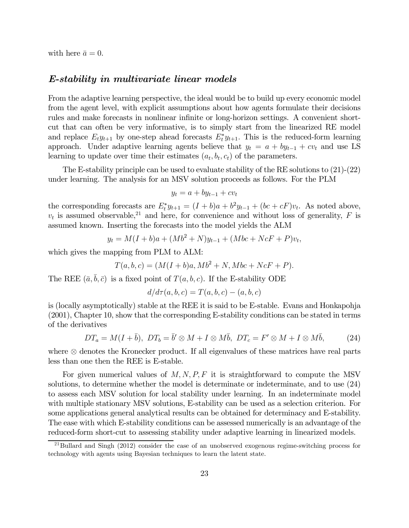with here  $\bar{a} = 0$ .

#### E-stability in multivariate linear models

From the adaptive learning perspective, the ideal would be to build up every economic model from the agent level, with explicit assumptions about how agents formulate their decisions rules and make forecasts in nonlinear infinite or long-horizon settings. A convenient shortcut that can often be very informative, is to simply start from the linearized RE model and replace  $E_t y_{t+1}$  by one-step ahead forecasts  $E_t^* y_{t+1}$ . This is the reduced-form learning approach. Under adaptive learning agents believe that  $y_t = a + by_{t-1} + cv_t$  and use LS learning to update over time their estimates  $(a_t, b_t, c_t)$  of the parameters.

The E-stability principle can be used to evaluate stability of the RE solutions to (21)-(22) under learning. The analysis for an MSV solution proceeds as follows. For the PLM

$$
y_t = a + by_{t-1} + cv_t
$$

the corresponding forecasts are  $E_t^* y_{t+1} = (I + b)a + b^2 y_{t-1} + (bc + cF)v_t$ . As noted above,  $v_t$  is assumed observable,<sup>21</sup> and here, for convenience and without loss of generality, F is assumed known. Inserting the forecasts into the model yields the ALM

$$
y_t = M(I+b)a + (Mb^2 + N)y_{t-1} + (Mbc + NcF + P)v_t,
$$

which gives the mapping from PLM to ALM:

$$
T(a, b, c) = (M(I + b)a, Mb^2 + N, Mbc + NcF + P).
$$

The REE  $(\bar{a}, \bar{b}, \bar{c})$  is a fixed point of  $T(a, b, c)$ . If the E-stability ODE

$$
d/d\tau(a,b,c) = T(a,b,c) - (a,b,c)
$$

is (locally asymptotically) stable at the REE it is said to be E-stable. Evans and Honkapohja (2001), Chapter 10, show that the corresponding E-stability conditions can be stated in terms of the derivatives

$$
DT_a = M(I + \bar{b}), \ DT_b = \bar{b}' \otimes M + I \otimes M\bar{b}, \ DT_c = F' \otimes M + I \otimes M\bar{b}, \tag{24}
$$

where ⊗ denotes the Kronecker product. If all eigenvalues of these matrices have real parts less than one then the REE is E-stable.

For given numerical values of  $M, N, P, F$  it is straightforward to compute the MSV solutions, to determine whether the model is determinate or indeterminate, and to use (24) to assess each MSV solution for local stability under learning. In an indeterminate model with multiple stationary MSV solutions, E-stability can be used as a selection criterion. For some applications general analytical results can be obtained for determinacy and E-stability. The ease with which E-stability conditions can be assessed numerically is an advantage of the reduced-form short-cut to assessing stability under adaptive learning in linearized models.

<sup>&</sup>lt;sup>21</sup>Bullard and Singh (2012) consider the case of an unobserved exogenous regime-switching process for technology with agents using Bayesian techniques to learn the latent state.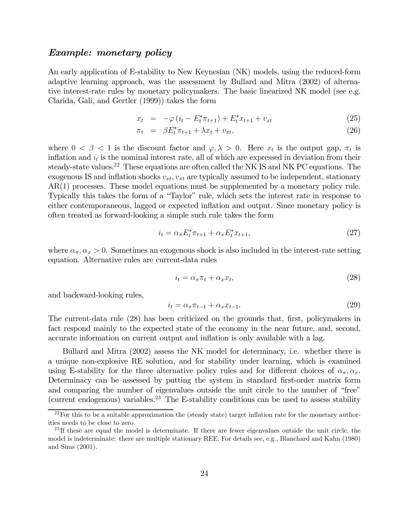#### Example: monetary policy

An early application of E-stability to New Keynesian (NK) models, using the reduced-form adaptive learning approach, was the assessment by Bullard and Mitra (2002) of alternative interest-rate rules by monetary policymakers. The basic linearized NK model (see e.g. Clarida, Gali, and Gertler (1999)) takes the form

$$
x_t = -\varphi \left( i_t - E_t^* \pi_{t+1} \right) + E_t^* x_{t+1} + v_{xt} \tag{25}
$$

$$
\pi_t = \beta E_t^* \pi_{t+1} + \lambda x_t + v_{\pi t}, \qquad (26)
$$

where  $0 < \beta < 1$  is the discount factor and  $\varphi, \lambda > 0$ . Here  $x_t$  is the output gap,  $\pi_t$  is inflation and  $i_t$  is the nominal interest rate, all of which are expressed in deviation from their steady-state values.<sup>22</sup> These equations are often called the NK IS and NK PC equations. The exogenous IS and inflation shocks  $v_{xt}$ ,  $v_{\pi t}$  are typically assumed to be independent, stationary AR(1) processes. These model equations must be supplemented by a monetary policy rule. Typically this takes the form of a "Taylor" rule, which sets the interest rate in response to either contemporaneous, lagged or expected inflation and output. Since monetary policy is often treated as forward-looking a simple such rule takes the form

$$
i_t = \alpha_\pi E_t^* \pi_{t+1} + \alpha_x E_t^* x_{t+1}, \tag{27}
$$

where  $\alpha_{\pi}, \alpha_{x} > 0$ . Sometimes an exogenous shock is also included in the interest-rate setting equation. Alternative rules are current-data rules

$$
i_t = \alpha_\pi \pi_t + \alpha_x x_t,\tag{28}
$$

and backward-looking rules,

$$
i_t = \alpha_\pi \pi_{t-1} + \alpha_x x_{t-1}.\tag{29}
$$

The current-data rule (28) has been criticized on the grounds that, first, policymakers in fact respond mainly to the expected state of the economy in the near future, and, second, accurate information on current output and inflation is only available with a lag.

Bullard and Mitra (2002) assess the NK model for determinacy, i.e. whether there is a unique non-explosive RE solution, and for stability under learning, which is examined using E-stability for the three alternative policy rules and for different choices of  $\alpha_{\pi}, \alpha_{x}$ . Determinacy can be assessed by putting the system in standard first-order matrix form and comparing the number of eigenvalues outside the unit circle to the number of "free" (current endogenous) variables.<sup>23</sup> The E-stability conditions can be used to assess stability

 $22$ For this to be a suitable approximation the (steady state) target inflation rate for the monetary authorities needs to be close to zero.

 $^{23}$ If these are equal the model is determinate. If there are fewer eigenvalues outside the unit circle, the model is indeterminate: there are multiple stationary REE. For details see, e.g., Blanchard and Kahn (1980) and Sims (2001).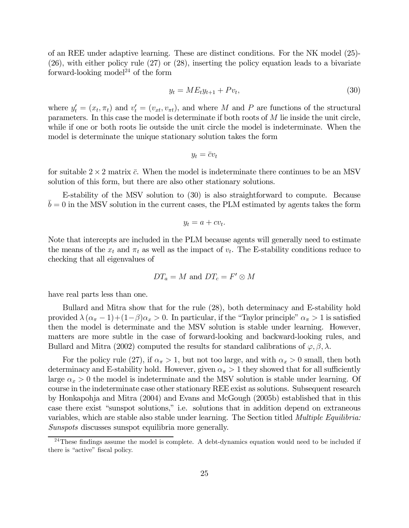of an REE under adaptive learning. These are distinct conditions. For the NK model (25)- (26), with either policy rule (27) or (28), inserting the policy equation leads to a bivariate forward-looking model<sup>24</sup> of the form

$$
y_t = ME_t y_{t+1} + P v_t, \t\t(30)
$$

where  $y_t' = (x_t, \pi_t)$  and  $v_t' = (v_{xt}, v_{\pi t})$ , and where M and P are functions of the structural parameters. In this case the model is determinate if both roots of  $M$  lie inside the unit circle, while if one or both roots lie outside the unit circle the model is indeterminate. When the model is determinate the unique stationary solution takes the form

$$
y_t = \bar{c}v_t
$$

for suitable  $2 \times 2$  matrix  $\bar{c}$ . When the model is indeterminate there continues to be an MSV solution of this form, but there are also other stationary solutions.

E-stability of the MSV solution to (30) is also straightforward to compute. Because  $\bar{b} = 0$  in the MSV solution in the current cases, the PLM estimated by agents takes the form

$$
y_t = a + cv_t.
$$

Note that intercepts are included in the PLM because agents will generally need to estimate the means of the  $x_t$  and  $\pi_t$  as well as the impact of  $v_t$ . The E-stability conditions reduce to checking that all eigenvalues of

$$
DT_a = M \text{ and } DT_c = F' \otimes M
$$

have real parts less than one.

Bullard and Mitra show that for the rule (28), both determinacy and E-stability hold provided  $\lambda (\alpha_{\pi} - 1) + (1 - \beta) \alpha_x > 0$ . In particular, if the "Taylor principle"  $\alpha_{\pi} > 1$  is satisfied then the model is determinate and the MSV solution is stable under learning. However, matters are more subtle in the case of forward-looking and backward-looking rules, and Bullard and Mitra (2002) computed the results for standard calibrations of  $\varphi$ ,  $\beta$ ,  $\lambda$ .

For the policy rule (27), if  $\alpha_{\pi} > 1$ , but not too large, and with  $\alpha_x > 0$  small, then both determinacy and E-stability hold. However, given  $\alpha_{\pi} > 1$  they showed that for all sufficiently large  $\alpha_x > 0$  the model is indeterminate and the MSV solution is stable under learning. Of course in the indeterminate case other stationary REE exist as solutions. Subsequent research by Honkapohja and Mitra (2004) and Evans and McGough (2005b) established that in this case there exist "sunspot solutions," i.e. solutions that in addition depend on extraneous variables, which are stable also stable under learning. The Section titled Multiple Equilibria: Sunspots discusses sunspot equilibria more generally.

 $24$ These findings assume the model is complete. A debt-dynamics equation would need to be included if there is "active" fiscal policy.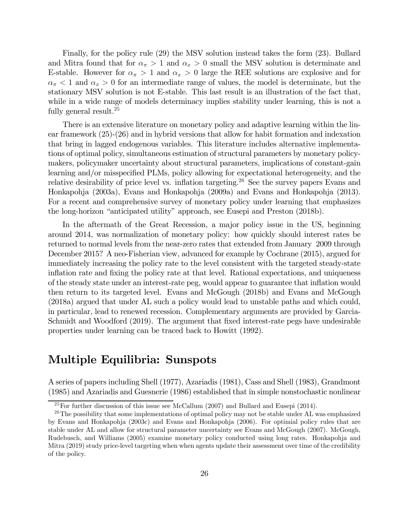Finally, for the policy rule (29) the MSV solution instead takes the form (23). Bullard and Mitra found that for  $\alpha_{\pi} > 1$  and  $\alpha_{x} > 0$  small the MSV solution is determinate and E-stable. However for  $\alpha_{\pi} > 1$  and  $\alpha_{x} > 0$  large the REE solutions are explosive and for  $\alpha_{\pi}$  < 1 and  $\alpha_{x}$  > 0 for an intermediate range of values, the model is determinate, but the stationary MSV solution is not E-stable. This last result is an illustration of the fact that, while in a wide range of models determinacy implies stability under learning, this is not a fully general result.<sup>25</sup>

There is an extensive literature on monetary policy and adaptive learning within the linear framework (25)-(26) and in hybrid versions that allow for habit formation and indexation that bring in lagged endogenous variables. This literature includes alternative implementations of optimal policy, simultaneous estimation of structural parameters by monetary policymakers, policymaker uncertainty about structural parameters, implications of constant-gain learning and/or misspecified PLMs, policy allowing for expectational heterogeneity, and the relative desirability of price level vs. inflation targeting.<sup>26</sup> See the survey papers Evans and Honkapohja (2003a), Evans and Honkapohja (2009a) and Evans and Honkapohja (2013). For a recent and comprehensive survey of monetary policy under learning that emphasizes the long-horizon "anticipated utility" approach, see Eusepi and Preston (2018b).

In the aftermath of the Great Recession, a major policy issue in the US, beginning around 2014, was normalization of monetary policy: how quickly should interest rates be returned to normal levels from the near-zero rates that extended from January 2009 through December 2015? A neo-Fisherian view, advanced for example by Cochrane (2015), argued for immediately increasing the policy rate to the level consistent with the targeted steady-state inflation rate and fixing the policy rate at that level. Rational expectations, and uniqueness of the steady state under an interest-rate peg, would appear to guarantee that inflation would then return to its targeted level. Evans and McGough (2018b) and Evans and McGough (2018a) argued that under AL such a policy would lead to unstable paths and which could, in particular, lead to renewed recession. Complementary arguments are provided by Garcia-Schmidt and Woodford (2019). The argument that fixed interest-rate pegs have undesirable properties under learning can be traced back to Howitt (1992).

# Multiple Equilibria: Sunspots

A series of papers including Shell (1977), Azariadis (1981), Cass and Shell (1983), Grandmont (1985) and Azariadis and Guesnerie (1986) established that in simple nonstochastic nonlinear

<sup>&</sup>lt;sup>25</sup>For further discussion of this issue see McCallum (2007) and Bullard and Eusepi (2014).

<sup>&</sup>lt;sup>26</sup>The possibility that some implementations of optimal policy may not be stable under AL was emphasized by Evans and Honkapohja (2003c) and Evans and Honkapohja (2006). For optimial policy rules that are stable under AL and allow for structural parameter uncertainty see Evans and McGough (2007). McGough, Rudebusch, and Williams (2005) examine monetary policy conducted using long rates. Honkapohja and Mitra (2019) study price-level targeting when when agents update their assessment over time of the credibility of the policy.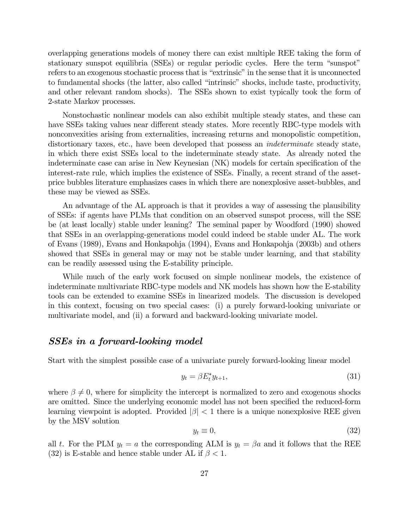overlapping generations models of money there can exist multiple REE taking the form of stationary sunspot equilibria (SSEs) or regular periodic cycles. Here the term "sunspot" refers to an exogenous stochastic process that is "extrinsic" in the sense that it is unconnected to fundamental shocks (the latter, also called "intrinsic" shocks, include taste, productivity, and other relevant random shocks). The SSEs shown to exist typically took the form of 2-state Markov processes.

Nonstochastic nonlinear models can also exhibit multiple steady states, and these can have SSEs taking values near different steady states. More recently RBC-type models with nonconvexities arising from externalities, increasing returns and monopolistic competition, distortionary taxes, etc., have been developed that possess an indeterminate steady state, in which there exist SSEs local to the indeterminate steady state. As already noted the indeterminate case can arise in New Keynesian (NK) models for certain specification of the interest-rate rule, which implies the existence of SSEs. Finally, a recent strand of the assetprice bubbles literature emphasizes cases in which there are nonexplosive asset-bubbles, and these may be viewed as SSEs.

An advantage of the AL approach is that it provides a way of assessing the plausibility of SSEs: if agents have PLMs that condition on an observed sunspot process, will the SSE be (at least locally) stable under leaning? The seminal paper by Woodford (1990) showed that SSEs in an overlapping-generations model could indeed be stable under AL. The work of Evans (1989), Evans and Honkapohja (1994), Evans and Honkapohja (2003b) and others showed that SSEs in general may or may not be stable under learning, and that stability can be readily assessed using the E-stability principle.

While much of the early work focused on simple nonlinear models, the existence of indeterminate multivariate RBC-type models and NK models has shown how the E-stability tools can be extended to examine SSEs in linearized models. The discussion is developed in this context, focusing on two special cases: (i) a purely forward-looking univariate or multivariate model, and (ii) a forward and backward-looking univariate model.

## SSEs in a forward-looking model

Start with the simplest possible case of a univariate purely forward-looking linear model

$$
y_t = \beta E_t^* y_{t+1},\tag{31}
$$

where  $\beta \neq 0$ , where for simplicity the intercept is normalized to zero and exogenous shocks are omitted. Since the underlying economic model has not been specified the reduced-form learning viewpoint is adopted. Provided  $|\beta|$  < 1 there is a unique nonexplosive REE given by the MSV solution

$$
y_t \equiv 0,\tag{32}
$$

all t. For the PLM  $y_t = a$  the corresponding ALM is  $y_t = \beta a$  and it follows that the REE (32) is E-stable and hence stable under AL if  $\beta$  < 1.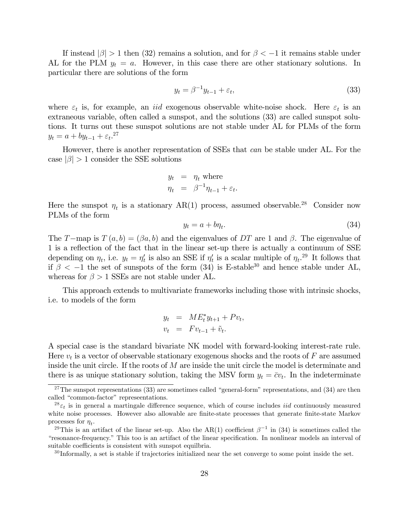If instead  $|\beta| > 1$  then (32) remains a solution, and for  $\beta < -1$  it remains stable under AL for the PLM  $y_t = a$ . However, in this case there are other stationary solutions. In particular there are solutions of the form

$$
y_t = \beta^{-1} y_{t-1} + \varepsilon_t,\tag{33}
$$

where  $\varepsilon_t$  is, for example, an *iid* exogenous observable white-noise shock. Here  $\varepsilon_t$  is an extraneous variable, often called a sunspot, and the solutions (33) are called sunspot solutions. It turns out these sunspot solutions are not stable under AL for PLMs of the form  $y_t = a + by_{t-1} + \varepsilon_t$ <sup>27</sup>

However, there is another representation of SSEs that can be stable under AL. For the case  $|\beta| > 1$  consider the SSE solutions

$$
y_t = \eta_t \text{ where}
$$
  

$$
\eta_t = \beta^{-1} \eta_{t-1} + \varepsilon_t.
$$

Here the sunspot  $\eta_t$  is a stationary AR(1) process, assumed observable.<sup>28</sup> Consider now PLMs of the form

$$
y_t = a + b\eta_t. \tag{34}
$$

The T-map is  $T(a, b) = (\beta a, b)$  and the eigenvalues of DT are 1 and  $\beta$ . The eigenvalue of 1 is a reflection of the fact that in the linear set-up there is actually a continuum of SSE depending on  $\eta_t$ , i.e.  $y_t = \eta'_t$  is also an SSE if  $\eta'_t$  is a scalar multiple of  $\eta_t$ .<sup>29</sup> It follows that if  $\beta$  < -1 the set of sunspots of the form (34) is E-stable<sup>30</sup> and hence stable under AL, whereas for  $\beta > 1$  SSEs are not stable under AL.

This approach extends to multivariate frameworks including those with intrinsic shocks, i.e. to models of the form

$$
y_t = ME_t^* y_{t+1} + Pv_t,
$$
  

$$
v_t = F v_{t-1} + \tilde{v}_t.
$$

A special case is the standard bivariate NK model with forward-looking interest-rate rule. Here  $v_t$  is a vector of observable stationary exogenous shocks and the roots of  $F$  are assumed inside the unit circle. If the roots of  $M$  are inside the unit circle the model is determinate and there is as unique stationary solution, taking the MSV form  $y_t = \overline{c}v_t$ . In the indeterminate

 $27$ The sunspot representations (33) are sometimes called "general-form" representations, and (34) are then called "common-factor" represeentations.

 $^{28}\epsilon_t$  is in general a martingale difference sequence, which of course includes *iid* continuously measured white noise processes. However also allowable are finite-state processes that generate finite-state Markov processes for  $\eta_t$ .<br><sup>29</sup>This is an artifact of the linear set-up. Also the AR(1) coefficient  $\beta^{-1}$  in (34) is sometimes called the

<sup>&</sup>quot;resonance-frequency." This too is an artifact of the linear specification. In nonlinear models an interval of suitable coefficients is consistent with sunspot equilbria.

<sup>&</sup>lt;sup>30</sup> Informally, a set is stable if trajectories initialized near the set converge to some point inside the set.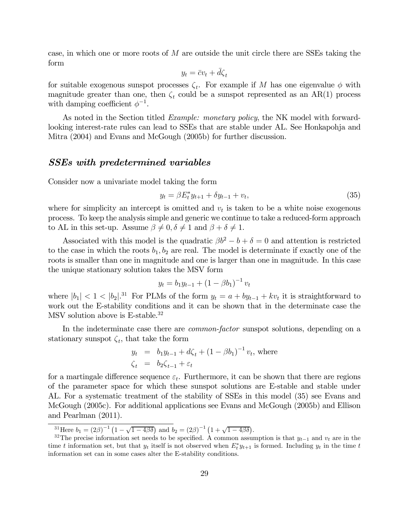case, in which one or more roots of  $M$  are outside the unit circle there are SSEs taking the form

$$
y_t = \bar{c}v_t + \bar{d}\zeta_t
$$

for suitable exogenous sunspot processes  $\zeta_t$ . For example if M has one eigenvalue  $\phi$  with magnitude greater than one, then  $\zeta_t$  could be a sunspot represented as an AR(1) process with damping coefficient  $\phi^{-1}$ .

As noted in the Section titled *Example: monetary policy*, the NK model with forwardlooking interest-rate rules can lead to SSEs that are stable under AL. See Honkapohja and Mitra (2004) and Evans and McGough (2005b) for further discussion.

## SSEs with predetermined variables

Consider now a univariate model taking the form

$$
y_t = \beta E_t^* y_{t+1} + \delta y_{t-1} + v_t, \tag{35}
$$

where for simplicity an intercept is omitted and  $v_t$  is taken to be a white noise exogenous process. To keep the analysis simple and generic we continue to take a reduced-form approach to AL in this set-up. Assume  $\beta \neq 0, \delta \neq 1$  and  $\beta + \delta \neq 1$ .

Associated with this model is the quadratic  $\beta b^2 - b + \delta = 0$  and attention is restricted to the case in which the roots  $b_1, b_2$  are real. The model is determinate if exactly one of the roots is smaller than one in magnitude and one is larger than one in magnitude. In this case the unique stationary solution takes the MSV form

$$
y_t = b_1 y_{t-1} + (1 - \beta b_1)^{-1} v_t
$$

where  $|b_1| < 1 < |b_2|^{31}$  For PLMs of the form  $y_t = a + by_{t-1} + kv_t$  it is straightforward to work out the E-stability conditions and it can be shown that in the determinate case the MSV solution above is E-stable.<sup>32</sup>

In the indeterminate case there are *common-factor* sunspot solutions, depending on a stationary sunspot  $\zeta_t$ , that take the form

$$
y_t = b_1 y_{t-1} + d\zeta_t + (1 - \beta b_1)^{-1} v_t, \text{ where}
$$
  

$$
\zeta_t = b_2 \zeta_{t-1} + \varepsilon_t
$$

for a martingale difference sequence  $\varepsilon_t$ . Furthermore, it can be shown that there are regions of the parameter space for which these sunspot solutions are E-stable and stable under AL. For a systematic treatment of the stability of SSEs in this model (35) see Evans and McGough (2005c). For additional applications see Evans and McGough (2005b) and Ellison and Pearlman (2011).

<sup>&</sup>lt;sup>31</sup>Here  $b_1 = (2\beta)^{-1} (1 - \sqrt{1 - 4\beta\delta})$  and  $b_2 = (2\beta)^{-1} (1 + \sqrt{1 - 4\beta\delta})$ .

<sup>&</sup>lt;sup>32</sup>The precise information set needs to be specified. A common assumption is that  $y_{t-1}$  and  $v_t$  are in the time t information set, but that  $y_t$  itself is not observed when  $E_t^* y_{t+1}$  is formed. Including  $y_t$  in the time t information set can in some cases alter the E-stability conditions.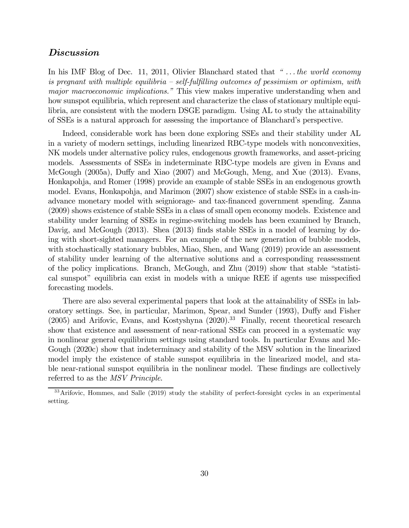## Discussion

In his IMF Blog of Dec. 11, 2011, Olivier Blanchard stated that "... the world economy is pregnant with multiple equilibria  $-$  self-fulfilling outcomes of pessimism or optimism, with major macroeconomic implications." This view makes imperative understanding when and how sunspot equilibria, which represent and characterize the class of stationary multiple equilibria, are consistent with the modern DSGE paradigm. Using AL to study the attainability of SSEs is a natural approach for assessing the importance of Blanchard's perspective.

Indeed, considerable work has been done exploring SSEs and their stability under AL in a variety of modern settings, including linearized RBC-type models with nonconvexities, NK models under alternative policy rules, endogenous growth frameworks, and asset-pricing models. Assessments of SSEs in indeterminate RBC-type models are given in Evans and McGough (2005a), Duffy and Xiao (2007) and McGough, Meng, and Xue (2013). Evans, Honkapohja, and Romer (1998) provide an example of stable SSEs in an endogenous growth model. Evans, Honkapohja, and Marimon (2007) show existence of stable SSEs in a cash-inadvance monetary model with seigniorage- and tax-financed government spending. Zanna (2009) shows existence of stable SSEs in a class of small open economy models. Existence and stability under learning of SSEs in regime-switching models has been examined by Branch, Davig, and McGough (2013). Shea (2013) finds stable SSEs in a model of learning by doing with short-sighted managers. For an example of the new generation of bubble models, with stochastically stationary bubbles, Miao, Shen, and Wang (2019) provide an assessment of stability under learning of the alternative solutions and a corresponding reassessment of the policy implications. Branch, McGough, and Zhu (2019) show that stable "statistical sunspot" equilibria can exist in models with a unique REE if agents use misspecified forecasting models.

There are also several experimental papers that look at the attainability of SSEs in laboratory settings. See, in particular, Marimon, Spear, and Sunder (1993), Duffy and Fisher (2005) and Arifovic, Evans, and Kostyshyna (2020).<sup>33</sup> Finally, recent theoretical research show that existence and assessment of near-rational SSEs can proceed in a systematic way in nonlinear general equilibrium settings using standard tools. In particular Evans and Mc-Gough (2020c) show that indeterminacy and stability of the MSV solution in the linearized model imply the existence of stable sunspot equilibria in the linearized model, and stable near-rational sunspot equilibria in the nonlinear model. These findings are collectively referred to as the MSV Principle.

<sup>&</sup>lt;sup>33</sup>Arifovic, Hommes, and Salle (2019) study the stability of perfect-foresight cycles in an experimental setting.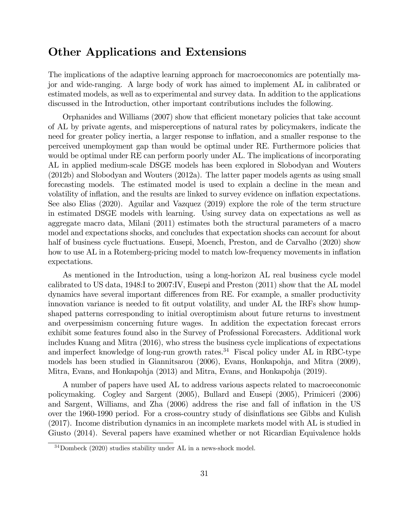# Other Applications and Extensions

The implications of the adaptive learning approach for macroeconomics are potentially major and wide-ranging. A large body of work has aimed to implement AL in calibrated or estimated models, as well as to experimental and survey data. In addition to the applications discussed in the Introduction, other important contributions includes the following.

Orphanides and Williams (2007) show that efficient monetary policies that take account of AL by private agents, and misperceptions of natural rates by policymakers, indicate the need for greater policy inertia, a larger response to inflation, and a smaller response to the perceived unemployment gap than would be optimal under RE. Furthermore policies that would be optimal under RE can perform poorly under AL. The implications of incorporating AL in applied medium-scale DSGE models has been explored in Slobodyan and Wouters (2012b) and Slobodyan and Wouters (2012a). The latter paper models agents as using small forecasting models. The estimated model is used to explain a decline in the mean and volatility of inflation, and the results are linked to survey evidence on inflation expectations. See also Elias (2020). Aguilar and Vazquez (2019) explore the role of the term structure in estimated DSGE models with learning. Using survey data on expectations as well as aggregate macro data, Milani (2011) estimates both the structural parameters of a macro model and expectations shocks, and concludes that expectation shocks can account for about half of business cycle fluctuations. Eusepi, Moench, Preston, and de Carvalho (2020) show how to use AL in a Rotemberg-pricing model to match low-frequency movements in inflation expectations.

As mentioned in the Introduction, using a long-horizon AL real business cycle model calibrated to US data, 1948:I to 2007:IV, Eusepi and Preston (2011) show that the AL model dynamics have several important differences from RE. For example, a smaller productivity innovation variance is needed to fit output volatility, and under AL the IRFs show humpshaped patterns corresponding to initial overoptimism about future returns to investment and overpessimism concerning future wages. In addition the expectation forecast errors exhibit some features found also in the Survey of Professional Forecasters. Additional work includes Kuang and Mitra (2016), who stress the business cycle implications of expectations and imperfect knowledge of long-run growth rates.<sup>34</sup> Fiscal policy under AL in RBC-type models has been studied in Giannitsarou (2006), Evans, Honkapohja, and Mitra (2009), Mitra, Evans, and Honkapohja (2013) and Mitra, Evans, and Honkapohja (2019).

A number of papers have used AL to address various aspects related to macroeconomic policymaking. Cogley and Sargent (2005), Bullard and Eusepi (2005), Primiceri (2006) and Sargent, Williams, and Zha (2006) address the rise and fall of inflation in the US over the 1960-1990 period. For a cross-country study of disinflations see Gibbs and Kulish (2017). Income distribution dynamics in an incomplete markets model with AL is studied in Giusto (2014). Several papers have examined whether or not Ricardian Equivalence holds

<sup>34</sup>Dombeck (2020) studies stability under AL in a news-shock model.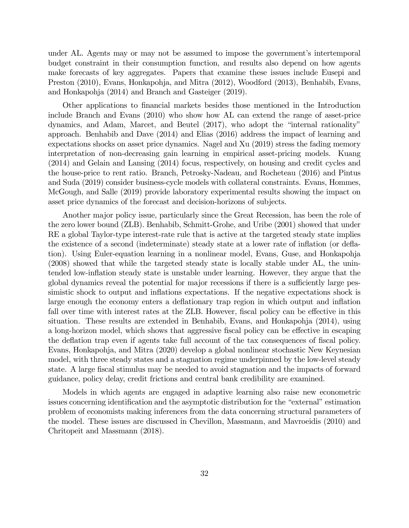under AL. Agents may or may not be assumed to impose the government's intertemporal budget constraint in their consumption function, and results also depend on how agents make forecasts of key aggregates. Papers that examine these issues include Eusepi and Preston (2010), Evans, Honkapohja, and Mitra (2012), Woodford (2013), Benhabib, Evans, and Honkapohja (2014) and Branch and Gasteiger (2019).

Other applications to financial markets besides those mentioned in the Introduction include Branch and Evans (2010) who show how AL can extend the range of asset-price dynamics, and Adam, Marcet, and Beutel (2017), who adopt the "internal rationality" approach. Benhabib and Dave (2014) and Elias (2016) address the impact of learning and expectations shocks on asset price dynamics. Nagel and Xu (2019) stress the fading memory interpretation of non-decreasing gain learning in empirical asset-pricing models. Kuang (2014) and Gelain and Lansing (2014) focus, respectively, on housing and credit cycles and the house-price to rent ratio. Branch, Petrosky-Nadeau, and Rocheteau (2016) and Pintus and Suda (2019) consider business-cycle models with collateral constraints. Evans, Hommes, McGough, and Salle (2019) provide laboratory experimental results showing the impact on asset price dynamics of the forecast and decision-horizons of subjects.

Another major policy issue, particularly since the Great Recession, has been the role of the zero lower bound (ZLB). Benhabib, Schmitt-Grohe, and Uribe (2001) showed that under RE a global Taylor-type interest-rate rule that is active at the targeted steady state implies the existence of a second (indeterminate) steady state at a lower rate of inflation (or deflation). Using Euler-equation learning in a nonlinear model, Evans, Guse, and Honkapohja (2008) showed that while the targeted steady state is locally stable under AL, the unintended low-inflation steady state is unstable under learning. However, they argue that the global dynamics reveal the potential for major recessions if there is a sufficiently large pessimistic shock to output and inflations expectations. If the negative expectations shock is large enough the economy enters a deflationary trap region in which output and inflation fall over time with interest rates at the ZLB. However, fiscal policy can be effective in this situation. These results are extended in Benhabib, Evans, and Honkapohja (2014), using a long-horizon model, which shows that aggressive fiscal policy can be effective in escaping the deflation trap even if agents take full account of the tax consequences of fiscal policy. Evans, Honkapohja, and Mitra (2020) develop a global nonlinear stochastic New Keynesian model, with three steady states and a stagnation regime underpinned by the low-level steady state. A large fiscal stimulus may be needed to avoid stagnation and the impacts of forward guidance, policy delay, credit frictions and central bank credibility are examined.

Models in which agents are engaged in adaptive learning also raise new econometric issues concerning identification and the asymptotic distribution for the "external" estimation problem of economists making inferences from the data concerning structural parameters of the model. These issues are discussed in Chevillon, Massmann, and Mavroeidis (2010) and Chritopeit and Massmann (2018).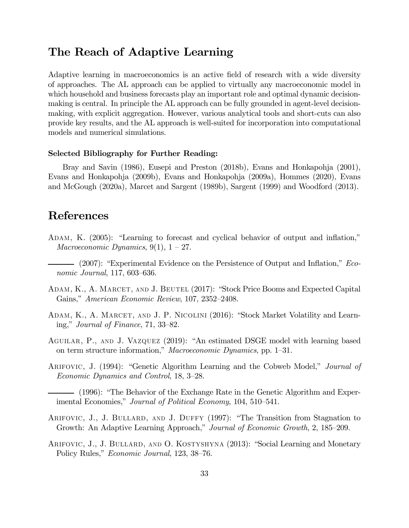# The Reach of Adaptive Learning

Adaptive learning in macroeconomics is an active field of research with a wide diversity of approaches. The AL approach can be applied to virtually any macroeconomic model in which household and business forecasts play an important role and optimal dynamic decisionmaking is central. In principle the AL approach can be fully grounded in agent-level decisionmaking, with explicit aggregation. However, various analytical tools and short-cuts can also provide key results, and the AL approach is well-suited for incorporation into computational models and numerical simulations.

#### Selected Bibliography for Further Reading:

Bray and Savin (1986), Eusepi and Preston (2018b), Evans and Honkapohja (2001), Evans and Honkapohja (2009b), Evans and Honkapohja (2009a), Hommes (2020), Evans and McGough (2020a), Marcet and Sargent (1989b), Sargent (1999) and Woodford (2013).

## References

- Adam, K. (2005): "Learning to forecast and cyclical behavior of output and inflation," Macroeconomic Dynamics,  $9(1)$ ,  $1-27$ .
- (2007): "Experimental Evidence on the Persistence of Output and Inflation," Economic Journal, 117, 603—636.
- Adam, K., A. Marcet, and J. Beutel (2017): "Stock Price Booms and Expected Capital Gains," American Economic Review, 107, 2352—2408.
- ADAM, K., A. MARCET, AND J. P. NICOLINI (2016): "Stock Market Volatility and Learning," Journal of Finance, 71, 33—82.
- Aguilar, P., and J. Vazquez (2019): "An estimated DSGE model with learning based on term structure information," Macroeconomic Dynamics, pp. 1—31.
- Arifovic, J. (1994): "Genetic Algorithm Learning and the Cobweb Model," Journal of Economic Dynamics and Control, 18, 3—28.
	- (1996): "The Behavior of the Exchange Rate in the Genetic Algorithm and Experimental Economies," Journal of Political Economy, 104, 510—541.
- ARIFOVIC, J., J. BULLARD, AND J. DUFFY (1997): "The Transition from Stagnation to Growth: An Adaptive Learning Approach," Journal of Economic Growth, 2, 185—209.
- ARIFOVIC, J., J. BULLARD, AND O. KOSTYSHYNA (2013): "Social Learning and Monetary Policy Rules," Economic Journal, 123, 38—76.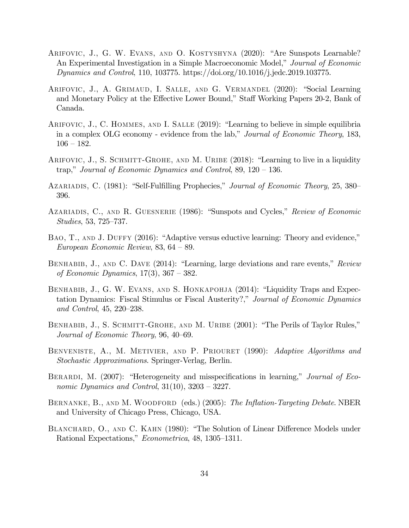- Arifovic, J., G. W. Evans, and O. Kostyshyna (2020): "Are Sunspots Learnable? An Experimental Investigation in a Simple Macroeconomic Model," Journal of Economic Dynamics and Control, 110, 103775. https://doi.org/10.1016/j.jedc.2019.103775.
- Arifovic, J., A. Grimaud, I. Salle, and G. Vermandel (2020): "Social Learning and Monetary Policy at the Effective Lower Bound," Staff Working Papers 20-2, Bank of Canada.
- ARIFOVIC, J., C. HOMMES, AND I. SALLE (2019): "Learning to believe in simple equilibria in a complex OLG economy - evidence from the lab," Journal of Economic Theory, 183,  $106 - 182.$
- ARIFOVIC, J., S. SCHMITT-GROHE, AND M. URIBE (2018): "Learning to live in a liquidity trap," Journal of Economic Dynamics and Control, 89, 120 — 136.
- AZARIADIS, C. (1981): "Self-Fulfilling Prophecies," Journal of Economic Theory, 25, 380 396.
- AZARIADIS, C., AND R. GUESNERIE (1986): "Sunspots and Cycles," Review of Economic Studies, 53, 725—737.
- BAO, T., AND J. DUFFY (2016): "Adaptive versus eductive learning: Theory and evidence," European Economic Review, 83, 64 — 89.
- BENHABIB, J., AND C. DAVE (2014): "Learning, large deviations and rare events," Review of Economic Dynamics, 17(3), 367 — 382.
- BENHABIB, J., G. W. EVANS, AND S. HONKAPOHJA (2014): "Liquidity Traps and Expectation Dynamics: Fiscal Stimulus or Fiscal Austerity?," Journal of Economic Dynamics and Control, 45, 220—238.
- BENHABIB, J., S. SCHMITT-GROHE, AND M. URIBE (2001): "The Perils of Taylor Rules," Journal of Economic Theory, 96, 40—69.
- BENVENISTE, A., M. METIVIER, AND P. PRIOURET (1990): Adaptive Algorithms and Stochastic Approximations. Springer-Verlag, Berlin.
- BERARDI, M. (2007): "Heterogeneity and misspecifications in learning," Journal of Economic Dynamics and Control,  $31(10)$ ,  $3203 - 3227$ .
- BERNANKE, B., AND M. WOODFORD (eds.) (2005): The Inflation-Targeting Debate. NBER and University of Chicago Press, Chicago, USA.
- BLANCHARD, O., AND C. KAHN (1980): "The Solution of Linear Difference Models under Rational Expectations," Econometrica, 48, 1305—1311.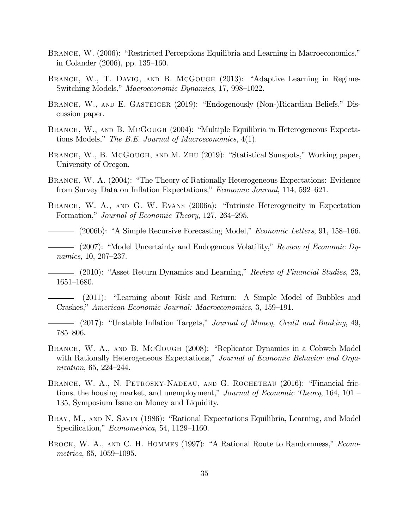- BRANCH, W. (2006): "Restricted Perceptions Equilibria and Learning in Macroeconomics," in Colander (2006), pp. 135—160.
- BRANCH, W., T. DAVIG, AND B. MCGOUGH (2013): "Adaptive Learning in Regime-Switching Models," Macroeconomic Dynamics, 17, 998—1022.
- BRANCH, W., AND E. GASTEIGER (2019): "Endogenously (Non-)Ricardian Beliefs," Discussion paper.
- BRANCH, W., AND B. MCGOUGH (2004): "Multiple Equilibria in Heterogeneous Expectations Models," The B.E. Journal of Macroeconomics, 4(1).
- BRANCH, W., B. McGOUGH, AND M. ZHU (2019): "Statistical Sunspots," Working paper, University of Oregon.
- BRANCH, W. A. (2004): "The Theory of Rationally Heterogeneous Expectations: Evidence from Survey Data on Inflation Expectations," Economic Journal, 114, 592—621.
- BRANCH, W. A., AND G. W. EVANS (2006a): "Intrinsic Heterogeneity in Expectation Formation," Journal of Economic Theory, 127, 264—295.
- (2006b): "A Simple Recursive Forecasting Model," Economic Letters, 91, 158—166.
- (2007): "Model Uncertainty and Endogenous Volatility," Review of Economic Dynamics, 10, 207—237.
- (2010): "Asset Return Dynamics and Learning," *Review of Financial Studies*, 23, 1651—1680.
- (2011): "Learning about Risk and Return: A Simple Model of Bubbles and Crashes," American Economic Journal: Macroeconomics, 3, 159—191.
- (2017): "Unstable Inflation Targets," Journal of Money, Credit and Banking, 49, 785—806.
- BRANCH, W. A., AND B. MCGOUGH (2008): "Replicator Dynamics in a Cobweb Model with Rationally Heterogeneous Expectations," Journal of Economic Behavior and Organization, 65, 224—244.
- BRANCH, W. A., N. PETROSKY-NADEAU, AND G. ROCHETEAU (2016): "Financial frictions, the housing market, and unemployment," Journal of Economic Theory,  $164, 101$ 135, Symposium Issue on Money and Liquidity.
- Bray, M., and N. Savin (1986): "Rational Expectations Equilibria, Learning, and Model Specification," Econometrica, 54, 1129—1160.
- BROCK, W. A., AND C. H. HOMMES (1997): "A Rational Route to Randomness," *Econo*metrica, 65, 1059—1095.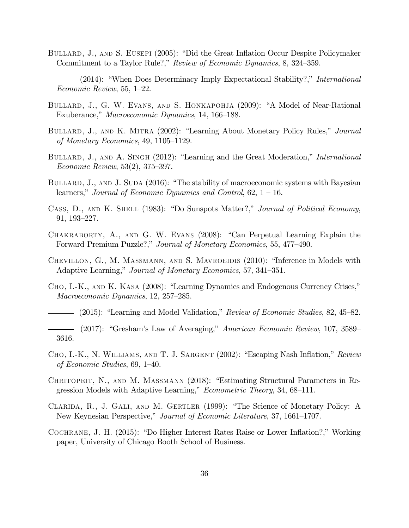- BULLARD, J., AND S. EUSEPI (2005): "Did the Great Inflation Occur Despite Policymaker Commitment to a Taylor Rule?," Review of Economic Dynamics, 8, 324—359.
- (2014): "When Does Determinacy Imply Expectational Stability?," International Economic Review, 55, 1—22.
- BULLARD, J., G. W. EVANS, AND S. HONKAPOHJA (2009): "A Model of Near-Rational Exuberance," Macroeconomic Dynamics, 14, 166—188.
- BULLARD, J., AND K. MITRA (2002): "Learning About Monetary Policy Rules," *Journal* of Monetary Economics, 49, 1105—1129.
- BULLARD, J., AND A. SINGH (2012): "Learning and the Great Moderation," International Economic Review, 53(2), 375—397.
- BULLARD, J., AND J. SUDA (2016): "The stability of macroeconomic systems with Bayesian learners," Journal of Economic Dynamics and Control,  $62$ ,  $1 - 16$ .
- CASS, D., AND K. SHELL (1983): "Do Sunspots Matter?," Journal of Political Economy, 91, 193—227.
- Chakraborty, A., and G. W. Evans (2008): "Can Perpetual Learning Explain the Forward Premium Puzzle?," Journal of Monetary Economics, 55, 477—490.
- CHEVILLON, G., M. MASSMANN, AND S. MAVROEIDIS (2010): "Inference in Models with Adaptive Learning," Journal of Monetary Economics, 57, 341—351.
- Cho, I.-K., and K. Kasa (2008): "Learning Dynamics and Endogenous Currency Crises," Macroeconomic Dynamics, 12, 257—285.
	- (2015): "Learning and Model Validation," Review of Economic Studies, 82, 45—82.
- (2017): "Gresham's Law of Averaging," American Economic Review, 107, 3589— 3616.
- Cho, I.-K., N. Williams, and T. J. Sargent (2002): "Escaping Nash Inflation," Review of Economic Studies, 69, 1—40.
- Chritopeit, N., and M. Massmann (2018): "Estimating Structural Parameters in Regression Models with Adaptive Learning," Econometric Theory, 34, 68—111.
- Clarida, R., J. Gali, and M. Gertler (1999): "The Science of Monetary Policy: A New Keynesian Perspective," Journal of Economic Literature, 37, 1661—1707.
- Cochrane, J. H. (2015): "Do Higher Interest Rates Raise or Lower Inflation?," Working paper, University of Chicago Booth School of Business.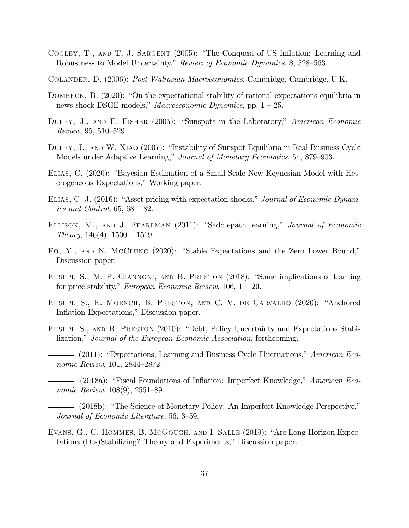- COGLEY, T., AND T. J. SARGENT (2005): "The Conquest of US Inflation: Learning and Robustness to Model Uncertainty," Review of Economic Dynamics, 8, 528—563.
- Colander, D. (2006): Post Walrasian Macroeconomics. Cambridge, Cambridge, U.K.
- DOMBECK, B. (2020): "On the expectational stability of rational expectations equilibria in news-shock DSGE models," Macroeconomic Dynamics, pp. 1 — 25.
- DUFFY, J., AND E. FISHER (2005): "Sunspots in the Laboratory," American Economic Review, 95, 510—529.
- DUFFY, J., AND W. XIAO (2007): "Instability of Sunspot Equilibria in Real Business Cycle Models under Adaptive Learning," Journal of Monetary Economics, 54, 879—903.
- Elias, C. (2020): "Bayesian Estimation of a Small-Scale New Keynesian Model with Heterogeneous Expectations," Working paper.
- ELIAS, C. J. (2016): "Asset pricing with expectation shocks," Journal of Economic Dynamics and Control,  $65, 68 - 82$ .
- ELLISON, M., AND J. PEARLMAN (2011): "Saddlepath learning," Journal of Economic  $Theory, 146(4), 1500-1519.$
- Eo, Y., and N. McClung (2020): "Stable Expectations and the Zero Lower Bound," Discussion paper.
- Eusepi, S., M. P. Giannoni, and B. Preston (2018): "Some implications of learning for price stability," *European Economic Review*,  $106, 1 - 20$ .
- Eusepi, S., E. Moench, B. Preston, and C. V. de Carvalho (2020): "Anchored Inflation Expectations," Discussion paper.
- Eusepi, S., and B. Preston (2010): "Debt, Policy Uncertainty and Expectations Stabilization," Journal of the European Economic Association, forthcoming.
- (2011): "Expectations, Learning and Business Cycle Fluctuations," American Economic Review, 101, 2844—2872.
- (2018a): "Fiscal Foundations of Inflation: Imperfect Knowledge," American Economic Review, 108(9), 2551—89.
- (2018b): "The Science of Monetary Policy: An Imperfect Knowledge Perspective," Journal of Economic Literature, 56, 3—59.
- Evans, G., C. Hommes, B. McGough, and I. Salle (2019): "Are Long-Horizon Expectations (De-)Stabilizing? Theory and Experiments," Discussion paper.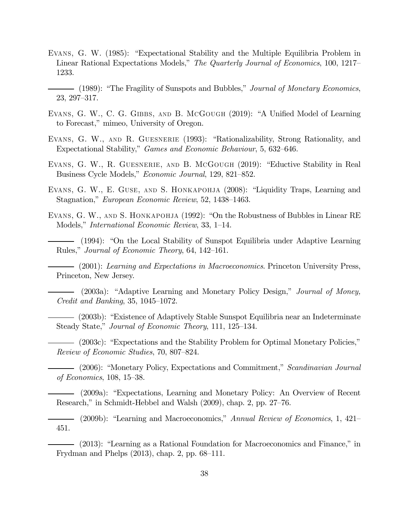- Evans, G. W. (1985): "Expectational Stability and the Multiple Equilibria Problem in Linear Rational Expectations Models," The Quarterly Journal of Economics, 100, 1217— 1233.
- (1989): "The Fragility of Sunspots and Bubbles," *Journal of Monetary Economics*, 23, 297—317.
- EVANS, G. W., C. G. GIBBS, AND B. MCGOUGH (2019): "A Unified Model of Learning to Forecast," mimeo, University of Oregon.
- EVANS, G. W., AND R. GUESNERIE (1993): "Rationalizability, Strong Rationality, and Expectational Stability," Games and Economic Behaviour, 5, 632—646.
- EVANS, G. W., R. GUESNERIE, AND B. MCGOUGH (2019): "Eductive Stability in Real Business Cycle Models," Economic Journal, 129, 821—852.
- Evans, G. W., E. Guse, and S. Honkapohja (2008): "Liquidity Traps, Learning and Stagnation," European Economic Review, 52, 1438—1463.
- Evans, G. W., and S. Honkapohja (1992): "On the Robustness of Bubbles in Linear RE Models," International Economic Review, 33, 1—14.

(1994): "On the Local Stability of Sunspot Equilibria under Adaptive Learning Rules," Journal of Economic Theory, 64, 142—161.

(2001): Learning and Expectations in Macroeconomics. Princeton University Press, Princeton, New Jersey.

- (2003a): "Adaptive Learning and Monetary Policy Design," Journal of Money, Credit and Banking, 35, 1045—1072.

(2003b): "Existence of Adaptively Stable Sunspot Equilibria near an Indeterminate Steady State," Journal of Economic Theory, 111, 125—134.

(2003c): "Expectations and the Stability Problem for Optimal Monetary Policies," Review of Economic Studies, 70, 807—824.

(2006): "Monetary Policy, Expectations and Commitment," Scandinavian Journal of Economics, 108, 15—38.

(2009a): "Expectations, Learning and Monetary Policy: An Overview of Recent Research," in Schmidt-Hebbel and Walsh (2009), chap. 2, pp. 27—76.

(2009b): "Learning and Macroeconomics," Annual Review of Economics, 1, 421— 451.

(2013): "Learning as a Rational Foundation for Macroeconomics and Finance," in Frydman and Phelps (2013), chap. 2, pp. 68—111.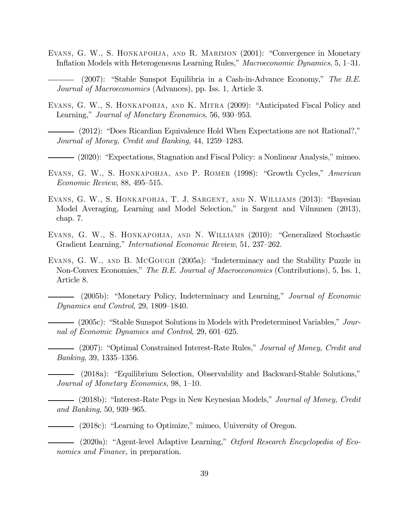- Evans, G. W., S. Honkapohja, and R. Marimon (2001): "Convergence in Monetary Inflation Models with Heterogeneous Learning Rules," Macroeconomic Dynamics, 5, 1—31.
- $-$  (2007): "Stable Sunspot Equilibria in a Cash-in-Advance Economy," The B.E. Journal of Macroeconomics (Advances), pp. Iss. 1, Article 3.
- EVANS, G. W., S. HONKAPOHJA, AND K. MITRA (2009): "Anticipated Fiscal Policy and Learning," Journal of Monetary Economics, 56, 930—953.
	- (2012): "Does Ricardian Equivalence Hold When Expectations are not Rational?," Journal of Money, Credit and Banking, 44, 1259—1283.
	- (2020): "Expectations, Stagnation and Fiscal Policy: a Nonlinear Analysis," mimeo.
- EVANS, G. W., S. HONKAPOHJA, AND P. ROMER (1998): "Growth Cycles," American Economic Review, 88, 495—515.
- EVANS, G. W., S. HONKAPOHJA, T. J. SARGENT, AND N. WILLIAMS (2013): "Bayesian Model Averaging, Learning and Model Selection," in Sargent and Vilmunen (2013), chap. 7.
- Evans, G. W., S. Honkapohja, and N. Williams (2010): "Generalized Stochastic Gradient Learning," International Economic Review, 51, 237—262.
- Evans, G. W., and B. McGough (2005a): "Indeterminacy and the Stability Puzzle in Non-Convex Economies," The B.E. Journal of Macroeconomics (Contributions), 5, Iss. 1, Article 8.

(2005b): "Monetary Policy, Indeterminacy and Learning," Journal of Economic Dynamics and Control, 29, 1809—1840.

(2005c): "Stable Sunspot Solutions in Models with Predetermined Variables," Journal of Economic Dynamics and Control, 29, 601—625.

(2007): "Optimal Constrained Interest-Rate Rules," Journal of Money, Credit and Banking, 39, 1335—1356.

(2018a): "Equilibrium Selection, Observability and Backward-Stable Solutions," Journal of Monetary Economics, 98, 1—10.

- (2018b): "Interest-Rate Pegs in New Keynesian Models," *Journal of Money, Credit* and Banking, 50, 939—965.

(2018c): "Learning to Optimize," mimeo, University of Oregon.

(2020a): "Agent-level Adaptive Learning," Oxford Research Encyclopedia of Economics and Finance, in preparation.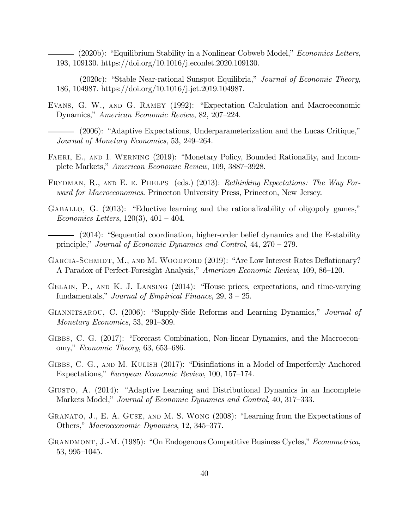- (2020b): "Equilibrium Stability in a Nonlinear Cobweb Model," *Economics Letters*, 193, 109130. https://doi.org/10.1016/j.econlet.2020.109130.

- $-$  (2020c): "Stable Near-rational Sunspot Equilibria," *Journal of Economic Theory*, 186, 104987. https://doi.org/10.1016/j.jet.2019.104987.
- Evans, G. W., and G. Ramey (1992): "Expectation Calculation and Macroeconomic Dynamics," American Economic Review, 82, 207—224.
- (2006): "Adaptive Expectations, Underparameterization and the Lucas Critique," Journal of Monetary Economics, 53, 249—264.
- FAHRI, E., AND I. WERNING (2019): "Monetary Policy, Bounded Rationality, and Incomplete Markets," American Economic Review, 109, 3887—3928.
- FRYDMAN, R., AND E. E. PHELPS (eds.) (2013): Rethinking Expectations: The Way Forward for Macroeconomics. Princeton University Press, Princeton, New Jersey.
- GABALLO, G.  $(2013)$ : "Eductive learning and the rationalizability of oligopoly games," Economics Letters,  $120(3)$ ,  $401 - 404$ .
- (2014): "Sequential coordination, higher-order belief dynamics and the E-stability principle," Journal of Economic Dynamics and Control, 44, 270 — 279.
- GARCIA-SCHMIDT, M., AND M. WOODFORD (2019): "Are Low Interest Rates Deflationary? A Paradox of Perfect-Foresight Analysis," American Economic Review, 109, 86—120.
- Gelain, P., and K. J. Lansing (2014): "House prices, expectations, and time-varying fundamentals," *Journal of Empirical Finance*,  $29, 3 - 25$ .
- GIANNITSAROU, C. (2006): "Supply-Side Reforms and Learning Dynamics," Journal of Monetary Economics, 53, 291—309.
- Gibbs, C. G. (2017): "Forecast Combination, Non-linear Dynamics, and the Macroeconomy," Economic Theory, 63, 653—686.
- Gibbs, C. G., and M. Kulish (2017): "Disinflations in a Model of Imperfectly Anchored Expectations," European Economic Review, 100, 157—174.
- Giusto, A. (2014): "Adaptive Learning and Distributional Dynamics in an Incomplete Markets Model," Journal of Economic Dynamics and Control, 40, 317—333.
- Granato, J., E. A. Guse, and M. S. Wong (2008): "Learning from the Expectations of Others," Macroeconomic Dynamics, 12, 345—377.
- Grandmont, J.-M. (1985): "On Endogenous Competitive Business Cycles," Econometrica, 53, 995—1045.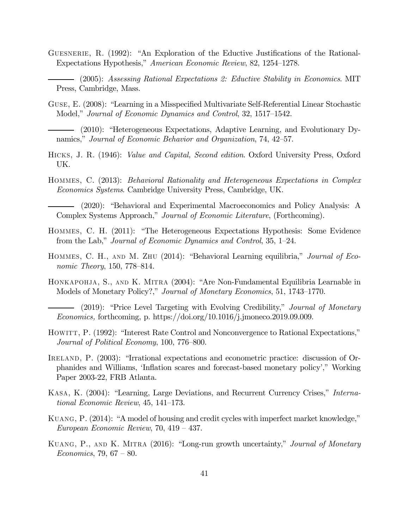- Guesnerie, R. (1992): "An Exploration of the Eductive Justifications of the Rational-Expectations Hypothesis," American Economic Review, 82, 1254—1278.
	- (2005): Assessing Rational Expectations 2: Eductive Stability in Economics. MIT Press, Cambridge, Mass.
- Guse, E. (2008): "Learning in a Misspecified Multivariate Self-Referential Linear Stochastic Model," Journal of Economic Dynamics and Control, 32, 1517—1542.
- (2010): "Heterogeneous Expectations, Adaptive Learning, and Evolutionary Dynamics," Journal of Economic Behavior and Organization, 74, 42—57.
- Hicks, J. R. (1946): Value and Capital, Second edition. Oxford University Press, Oxford UK.
- Hommes, C. (2013): Behavioral Rationality and Heterogeneous Expectations in Complex Economics Systems. Cambridge University Press, Cambridge, UK.

(2020): "Behavioral and Experimental Macroeconomics and Policy Analysis: A Complex Systems Approach," Journal of Economic Literature, (Forthcoming).

- Hommes, C. H. (2011): "The Heterogeneous Expectations Hypothesis: Some Evidence from the Lab," Journal of Economic Dynamics and Control, 35, 1—24.
- HOMMES, C. H., AND M. ZHU (2014): "Behavioral Learning equilibria," Journal of Economic Theory, 150, 778—814.
- HONKAPOHJA, S., AND K. MITRA (2004): "Are Non-Fundamental Equilibria Learnable in Models of Monetary Policy?," Journal of Monetary Economics, 51, 1743—1770.
	- (2019): "Price Level Targeting with Evolving Credibility," Journal of Monetary Economics, forthcoming, p. https://doi.org/10.1016/j.jmoneco.2019.09.009.
- HOWITT, P. (1992): "Interest Rate Control and Nonconvergence to Rational Expectations," Journal of Political Economy, 100, 776—800.
- IRELAND, P. (2003): "Irrational expectations and econometric practice: discussion of Orphanides and Williams, 'Inflation scares and forecast-based monetary policy'," Working Paper 2003-22, FRB Atlanta.
- Kasa, K. (2004): "Learning, Large Deviations, and Recurrent Currency Crises," International Economic Review, 45, 141—173.
- Kuang, P. (2014): "A model of housing and credit cycles with imperfect market knowledge," European Economic Review, 70, 419 — 437.
- Kuang, P., and K. Mitra (2016): "Long-run growth uncertainty," Journal of Monetary *Economics*, 79, 67 – 80.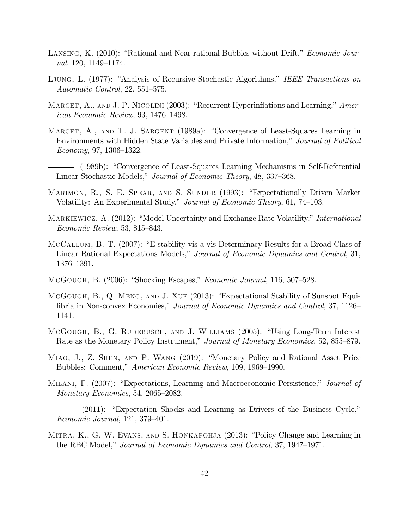- LANSING, K. (2010): "Rational and Near-rational Bubbles without Drift," *Economic Jour*nal, 120, 1149—1174.
- Ljung, L. (1977): "Analysis of Recursive Stochastic Algorithms," IEEE Transactions on Automatic Control, 22, 551—575.
- MARCET, A., AND J. P. NICOLINI (2003): "Recurrent Hyperinflations and Learning," American Economic Review, 93, 1476—1498.
- MARCET, A., AND T. J. SARGENT (1989a): "Convergence of Least-Squares Learning in Environments with Hidden State Variables and Private Information," Journal of Political Economy, 97, 1306—1322.
- (1989b): "Convergence of Least-Squares Learning Mechanisms in Self-Referential Linear Stochastic Models," Journal of Economic Theory, 48, 337—368.
- MARIMON, R., S. E. SPEAR, AND S. SUNDER (1993): "Expectationally Driven Market Volatility: An Experimental Study," Journal of Economic Theory, 61, 74—103.
- MARKIEWICZ, A. (2012): "Model Uncertainty and Exchange Rate Volatility," *International* Economic Review, 53, 815—843.
- McCallum, B. T. (2007): "E-stability vis-a-vis Determinacy Results for a Broad Class of Linear Rational Expectations Models," Journal of Economic Dynamics and Control, 31, 1376—1391.
- McGough, B. (2006): "Shocking Escapes," Economic Journal, 116, 507—528.
- McGough, B., Q. Meng, and J. Xue (2013): "Expectational Stability of Sunspot Equilibria in Non-convex Economies," Journal of Economic Dynamics and Control, 37, 1126— 1141.
- McGough, B., G. Rudebusch, and J. Williams (2005): "Using Long-Term Interest Rate as the Monetary Policy Instrument," Journal of Monetary Economics, 52, 855—879.
- Miao, J., Z. Shen, and P. Wang (2019): "Monetary Policy and Rational Asset Price Bubbles: Comment," American Economic Review, 109, 1969—1990.
- Milani, F. (2007): "Expectations, Learning and Macroeconomic Persistence," Journal of Monetary Economics, 54, 2065—2082.
	- (2011): "Expectation Shocks and Learning as Drivers of the Business Cycle," Economic Journal, 121, 379—401.
- MITRA, K., G. W. EVANS, AND S. HONKAPOHJA (2013): "Policy Change and Learning in the RBC Model," Journal of Economic Dynamics and Control, 37, 1947—1971.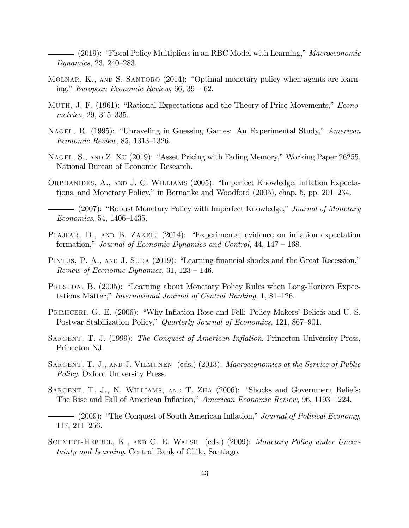- (2019): "Fiscal Policy Multipliers in an RBC Model with Learning," *Macroeconomic* Dynamics, 23, 240—283.

- MOLNAR, K., AND S. SANTORO (2014): "Optimal monetary policy when agents are learning," European Economic Review,  $66, 39 - 62$ .
- MUTH, J. F. (1961): "Rational Expectations and the Theory of Price Movements," *Econo*metrica, 29, 315—335.
- Nagel, R. (1995): "Unraveling in Guessing Games: An Experimental Study," American Economic Review, 85, 1313—1326.
- Nagel, S., and Z. Xu (2019): "Asset Pricing with Fading Memory," Working Paper 26255, National Bureau of Economic Research.
- Orphanides, A., and J. C. Williams (2005): "Imperfect Knowledge, Inflation Expectations, and Monetary Policy," in Bernanke and Woodford (2005), chap. 5, pp. 201—234.
- (2007): "Robust Monetary Policy with Imperfect Knowledge," *Journal of Monetary* Economics, 54, 1406—1435.
- Pfajfar, D., and B. Zakelj (2014): "Experimental evidence on inflation expectation formation," Journal of Economic Dynamics and Control, 44, 147 — 168.
- PINTUS, P. A., AND J. SUDA (2019): "Learning financial shocks and the Great Recession," Review of Economic Dynamics,  $31, 123 - 146$ .
- Preston, B. (2005): "Learning about Monetary Policy Rules when Long-Horizon Expectations Matter," International Journal of Central Banking, 1, 81—126.
- PRIMICERI, G. E. (2006): "Why Inflation Rose and Fell: Policy-Makers' Beliefs and U.S. Postwar Stabilization Policy," Quarterly Journal of Economics, 121, 867—901.
- SARGENT, T. J. (1999): The Conquest of American Inflation. Princeton University Press, Princeton NJ.
- SARGENT, T. J., AND J. VILMUNEN (eds.) (2013): *Macroeconomics at the Service of Public* Policy. Oxford University Press.
- SARGENT, T. J., N. WILLIAMS, AND T. ZHA (2006): "Shocks and Government Beliefs: The Rise and Fall of American Inflation," American Economic Review, 96, 1193—1224.
- (2009): "The Conquest of South American Inflation," *Journal of Political Economy*, 117, 211—256.
- SCHMIDT-HEBBEL, K., AND C. E. WALSH (eds.) (2009): Monetary Policy under Uncertainty and Learning. Central Bank of Chile, Santiago.